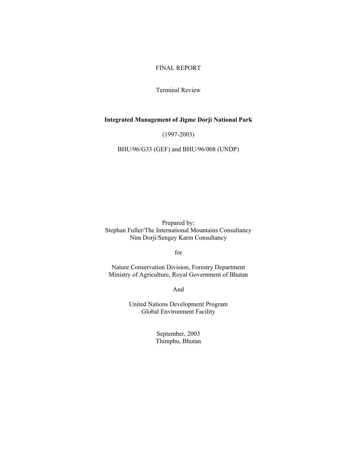## FINAL REPORT

Terminal Review

## **Integrated Management of Jigme Dorji National Park**

(1997-2003)

BHU/96/G33 (GEF) and BHU/96/008 (UNDP)

Prepared by: Stephan Fuller/The International Mountains Consultancy Nim Dorji/Sengey Karm Consultancy

for

Nature Conservation Division, Forestry Department Ministry of Agriculture, Royal Government of Bhutan

And

United Nations Development Program Global Environment Facility

> September, 2003 Thimphu, Bhutan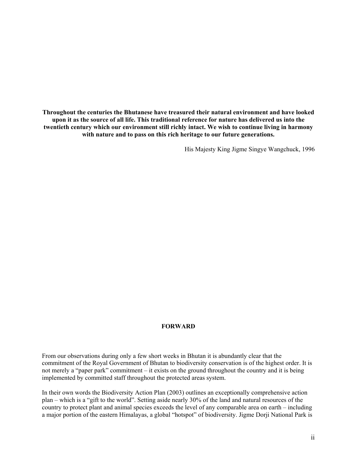**Throughout the centuries the Bhutanese have treasured their natural environment and have looked upon it as the source of all life. This traditional reference for nature has delivered us into the twentieth century which our environment still richly intact. We wish to continue living in harmony with nature and to pass on this rich heritage to our future generations.**

His Majesty King Jigme Singye Wangchuck, 1996

#### **FORWARD**

From our observations during only a few short weeks in Bhutan it is abundantly clear that the commitment of the Royal Government of Bhutan to biodiversity conservation is of the highest order. It is not merely a "paper park" commitment – it exists on the ground throughout the country and it is being implemented by committed staff throughout the protected areas system.

In their own words the Biodiversity Action Plan (2003) outlines an exceptionally comprehensive action plan – which is a "gift to the world". Setting aside nearly 30% of the land and natural resources of the country to protect plant and animal species exceeds the level of any comparable area on earth – including a major portion of the eastern Himalayas, a global "hotspot" of biodiversity. Jigme Dorji National Park is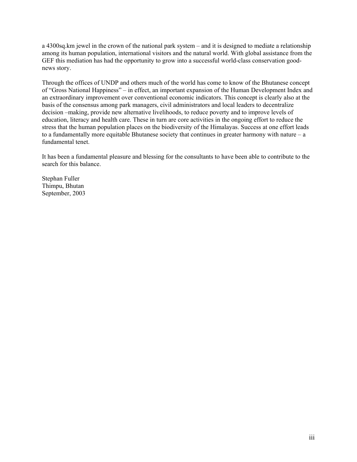a 4300sq.km jewel in the crown of the national park system – and it is designed to mediate a relationship among its human population, international visitors and the natural world. With global assistance from the GEF this mediation has had the opportunity to grow into a successful world-class conservation goodnews story.

Through the offices of UNDP and others much of the world has come to know of the Bhutanese concept of "Gross National Happiness" – in effect, an important expansion of the Human Development Index and an extraordinary improvement over conventional economic indicators. This concept is clearly also at the basis of the consensus among park managers, civil administrators and local leaders to decentralize decision –making, provide new alternative livelihoods, to reduce poverty and to improve levels of education, literacy and health care. These in turn are core activities in the ongoing effort to reduce the stress that the human population places on the biodiversity of the Himalayas. Success at one effort leads to a fundamentally more equitable Bhutanese society that continues in greater harmony with nature – a fundamental tenet.

It has been a fundamental pleasure and blessing for the consultants to have been able to contribute to the search for this balance.

Stephan Fuller Thimpu, Bhutan September, 2003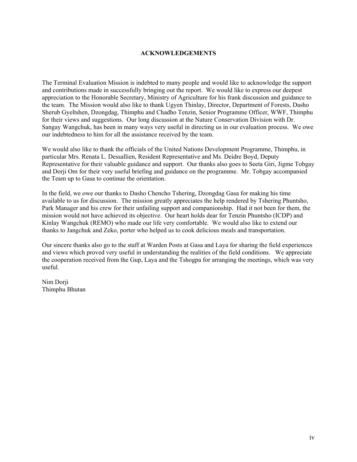### **ACKNOWLEDGEMENTS**

The Terminal Evaluation Mission is indebted to many people and would like to acknowledge the support and contributions made in successfully bringing out the report. We would like to express our deepest appreciation to the Honorable Secretary, Ministry of Agriculture for his frank discussion and guidance to the team. The Mission would also like to thank Ugyen Thinlay, Director, Department of Forests, Dasho Sherub Gyeltshen, Dzongdag, Thimphu and Chadho Tenzin, Senior Programme Officer, WWF, Thimphu for their views and suggestions. Our long discussion at the Nature Conservation Division with Dr. Sangay Wangchuk, has been in many ways very useful in directing us in our evaluation process. We owe our indebtedness to him for all the assistance received by the team.

We would also like to thank the officials of the United Nations Development Programme, Thimphu, in particular Mrs. Renata L. Dessallien, Resident Representative and Ms. Deidre Boyd, Deputy Representative for their valuable guidance and support. Our thanks also goes to Seeta Giri, Jigme Tobgay and Dorji Om for their very useful briefing and guidance on the programme. Mr. Tobgay accompanied the Team up to Gasa to continue the orientation.

In the field, we owe our thanks to Dasho Chencho Tshering, Dzongdag Gasa for making his time available to us for discussion. The mission greatly appreciates the help rendered by Tshering Phuntsho, Park Manager and his crew for their unfailing support and companionship. Had it not been for them, the mission would not have achieved its objective. Our heart holds dear for Tenzin Phuntsho (ICDP) and Kinlay Wangchuk (REMO) who made our life very comfortable. We would also like to extend our thanks to Jangchuk and Zeko, porter who helped us to cook delicious meals and transportation.

Our sincere thanks also go to the staff at Warden Posts at Gasa and Laya for sharing the field experiences and views which proved very useful in understanding the realities of the field conditions. We appreciate the cooperation received from the Gup, Laya and the Tshogpa for arranging the meetings, which was very useful.

Nim Dorji Thimphu Bhutan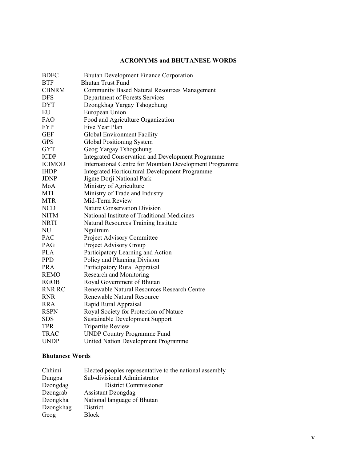## **ACRONYMS and BHUTANESE WORDS**

| <b>BDFC</b>   | <b>Bhutan Development Finance Corporation</b>           |
|---------------|---------------------------------------------------------|
| <b>BTF</b>    | <b>Bhutan Trust Fund</b>                                |
| <b>CBNRM</b>  | <b>Community Based Natural Resources Management</b>     |
| <b>DFS</b>    | Department of Forests Services                          |
| <b>DYT</b>    | Dzongkhag Yargay Tshogchung                             |
| EU            | European Union                                          |
| FAO           | Food and Agriculture Organization                       |
| <b>FYP</b>    | Five Year Plan                                          |
| <b>GEF</b>    | Global Environment Facility                             |
| <b>GPS</b>    | Global Positioning System                               |
| <b>GYT</b>    | Geog Yargay Tshogchung                                  |
| <b>ICDP</b>   | Integrated Conservation and Development Programme       |
| <b>ICIMOD</b> | International Centre for Mountain Development Programme |
| <b>IHDP</b>   | Integrated Horticultural Development Programme          |
| <b>JDNP</b>   | Jigme Dorji National Park                               |
| MoA           | Ministry of Agriculture                                 |
| MTI           | Ministry of Trade and Industry                          |
| <b>MTR</b>    | Mid-Term Review                                         |
| <b>NCD</b>    | <b>Nature Conservation Division</b>                     |
| <b>NITM</b>   | National Institute of Traditional Medicines             |
| <b>NRTI</b>   | Natural Resources Training Institute                    |
| NU            | Ngultrum                                                |
| PAC           | Project Advisory Committee                              |
| PAG           | Project Advisory Group                                  |
| <b>PLA</b>    | Participatory Learning and Action                       |
| <b>PPD</b>    | Policy and Planning Division                            |
| <b>PRA</b>    | Participatory Rural Appraisal                           |
| <b>REMO</b>   | Research and Monitoring                                 |
| <b>RGOB</b>   | Royal Government of Bhutan                              |
| <b>RNR RC</b> | Renewable Natural Resources Research Centre             |
| <b>RNR</b>    | Renewable Natural Resource                              |
| <b>RRA</b>    | Rapid Rural Appraisal                                   |
| <b>RSPN</b>   | Royal Society for Protection of Nature                  |
| <b>SDS</b>    | Sustainable Development Support                         |
| <b>TPR</b>    | <b>Tripartite Review</b>                                |
| <b>TRAC</b>   | <b>UNDP Country Programme Fund</b>                      |
| <b>UNDP</b>   | United Nation Development Programme                     |
|               |                                                         |

## **Bhutanese Words**

| Chhimi    | Elected peoples representative to the national assembly |
|-----------|---------------------------------------------------------|
| Dungpa    | Sub-divisional Administrator                            |
| Dzongdag  | District Commissioner                                   |
| Dzongrab  | <b>Assistant Dzongdag</b>                               |
| Dzongkha  | National language of Bhutan                             |
| Dzongkhag | District                                                |
| Geog      | Block                                                   |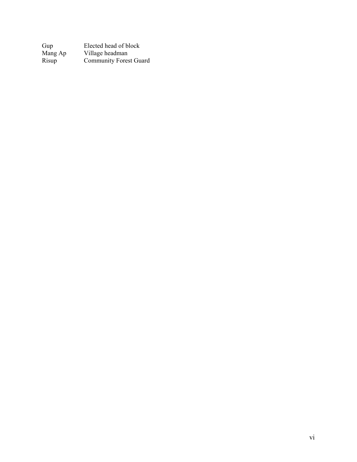Gup Elected head of block<br>Mang Ap Village headman<br>Risup Community Forest Gu Mang Ap Village headman Risup Community Forest Guard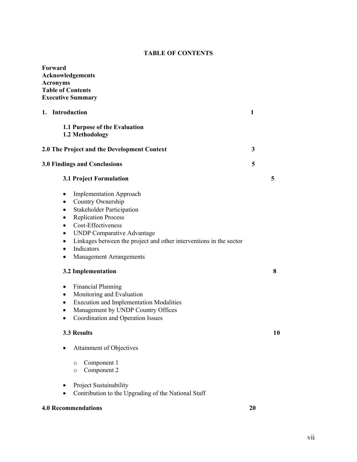## **TABLE OF CONTENTS**

| Forward<br><b>Acknowledgements</b><br><b>Acronyms</b><br><b>Table of Contents</b><br><b>Executive Summary</b>                                                                                                                                                                                                                                                                                                                                                                                                                                                                                                                             |    |    |
|-------------------------------------------------------------------------------------------------------------------------------------------------------------------------------------------------------------------------------------------------------------------------------------------------------------------------------------------------------------------------------------------------------------------------------------------------------------------------------------------------------------------------------------------------------------------------------------------------------------------------------------------|----|----|
| 1. Introduction                                                                                                                                                                                                                                                                                                                                                                                                                                                                                                                                                                                                                           |    |    |
| 1.1 Purpose of the Evaluation<br>1.2 Methodology                                                                                                                                                                                                                                                                                                                                                                                                                                                                                                                                                                                          |    |    |
| 2.0 The Project and the Development Context                                                                                                                                                                                                                                                                                                                                                                                                                                                                                                                                                                                               |    |    |
| <b>3.0 Findings and Conclusions</b>                                                                                                                                                                                                                                                                                                                                                                                                                                                                                                                                                                                                       |    |    |
| 3.1 Project Formulation                                                                                                                                                                                                                                                                                                                                                                                                                                                                                                                                                                                                                   |    | 5  |
| <b>Implementation Approach</b><br>٠<br>Country Ownership<br>$\bullet$<br><b>Stakeholder Participation</b><br>٠<br><b>Replication Process</b><br>$\bullet$<br>Cost-Effectiveness<br>$\bullet$<br><b>UNDP Comparative Advantage</b><br>$\bullet$<br>Linkages between the project and other interventions in the sector<br>$\bullet$<br>Indicators<br>$\bullet$<br><b>Management Arrangements</b><br>٠<br>3.2 Implementation<br><b>Financial Planning</b><br>٠<br>Monitoring and Evaluation<br>٠<br><b>Execution and Implementation Modalities</b><br>٠<br>Management by UNDP Country Offices<br>٠<br>Coordination and Operation Issues<br>٠ |    | 8  |
| 3.3 Results                                                                                                                                                                                                                                                                                                                                                                                                                                                                                                                                                                                                                               |    | 10 |
| Attainment of Objectives                                                                                                                                                                                                                                                                                                                                                                                                                                                                                                                                                                                                                  |    |    |
| Component 1<br>$\circ$<br>Component 2<br>$\circ$                                                                                                                                                                                                                                                                                                                                                                                                                                                                                                                                                                                          |    |    |
| Project Sustainability<br>Contribution to the Upgrading of the National Staff                                                                                                                                                                                                                                                                                                                                                                                                                                                                                                                                                             |    |    |
| <b>4.0 Recommendations</b>                                                                                                                                                                                                                                                                                                                                                                                                                                                                                                                                                                                                                | 20 |    |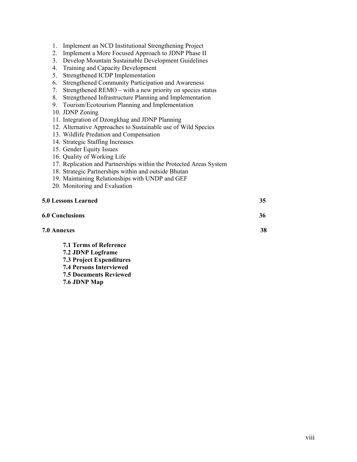- 1. Implement an NCD Institutional Strengthening Project
- 2. Implement a More Focused Approach to JDNP Phase II
- 3. Develop Mountain Sustainable Development Guidelines
- 4. Training and Capacity Development
- 5. Strengthened ICDP Implementation
- 6. Strengthened Community Participation and Awareness
- 7. Strengthened REMO with a new priority on species status
- 8. Strengthened Infrastructure Planning and Implementation
- 9. Tourism/Ecotourism Planning and Implementation
- 10. JDNP Zoning
- 11. Integration of Dzongkhag and JDNP Planning
- 12. Alternative Approaches to Sustainable use of Wild Species
- 13. Wildlife Predation and Compensation
- 14. Strategic Staffing Increases
- 15. Gender Equity Issues
- 16. Quality of Working Life
- 17. Replication and Partnerships within the Protected Areas System
- 18. Strategic Partnerships within and outside Bhutan
- 19. Maintaining Relationships with UNDP and GEF
- 20. Monitoring and Evaluation

### **5.0 Lessons Learned 35**

| <b>6.0 Conclusions</b>        | 36 |
|-------------------------------|----|
| 7.0 Annexes                   | 38 |
| <b>7.1 Terms of Reference</b> |    |

- **7.2 JDNP Logframe 7.3 Project Expenditures**
- **7.4 Persons Interviewed**
- **7.5 Documents Reviewed**
- **7.6 JDNP Map**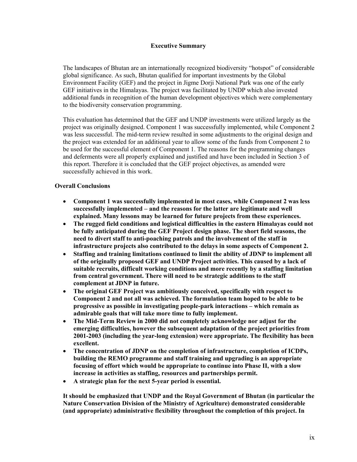### **Executive Summary**

The landscapes of Bhutan are an internationally recognized biodiversity "hotspot" of considerable global significance. As such, Bhutan qualified for important investments by the Global Environment Facility (GEF) and the project in Jigme Dorji National Park was one of the early GEF initiatives in the Himalayas. The project was facilitated by UNDP which also invested additional funds in recognition of the human development objectives which were complementary to the biodiversity conservation programming.

This evaluation has determined that the GEF and UNDP investments were utilized largely as the project was originally designed. Component 1 was successfully implemented, while Component 2 was less successful. The mid-term review resulted in some adjustments to the original design and the project was extended for an additional year to allow some of the funds from Component 2 to be used for the successful element of Component 1. The reasons for the programming changes and deferments were all properly explained and justified and have been included in Section 3 of this report. Therefore it is concluded that the GEF project objectives, as amended were successfully achieved in this work.

## **Overall Conclusions**

- **Component 1 was successfully implemented in most cases, while Component 2 was less successfully implemented – and the reasons for the latter are legitimate and well explained. Many lessons may be learned for future projects from these experiences.**
- **The rugged field conditions and logistical difficulties in the eastern Himalayas could not be fully anticipated during the GEF Project design phase. The short field seasons, the need to divert staff to anti-poaching patrols and the involvement of the staff in infrastructure projects also contributed to the delays in some aspects of Component 2.**
- **Staffing and training limitations continued to limit the ability of JDNP to implement all of the originally proposed GEF and UNDP Project activities. This caused by a lack of suitable recruits, difficult working conditions and more recently by a staffing limitation from central government. There will need to be strategic additions to the staff complement at JDNP in future.**
- **The original GEF Project was ambitiously conceived, specifically with respect to Component 2 and not all was achieved. The formulation team hoped to be able to be progressive as possible in investigating people-park interactions – which remain as admirable goals that will take more time to fully implement.**
- **The Mid-Term Review in 2000 did not completely acknowledge nor adjust for the emerging difficulties, however the subsequent adaptation of the project priorities from 2001-2003 (including the year-long extension) were appropriate. The flexibility has been excellent.**
- **The concentration of JDNP on the completion of infrastructure, completion of ICDPs, building the REMO programme and staff training and upgrading is an appropriate focusing of effort which would be appropriate to continue into Phase II, with a slow increase in activities as staffing, resources and partnerships permit.**
- **A strategic plan for the next 5-year period is essential.**

**It should be emphasized that UNDP and the Royal Government of Bhutan (in particular the Nature Conservation Division of the Ministry of Agriculture) demonstrated considerable (and appropriate) administrative flexibility throughout the completion of this project. In**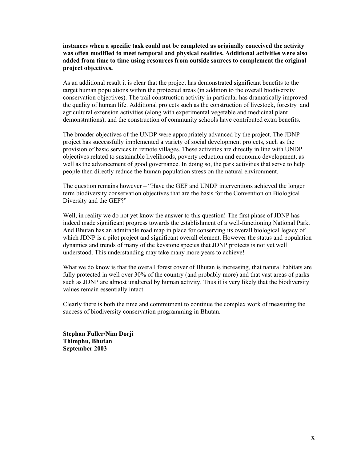**instances when a specific task could not be completed as originally conceived the activity was often modified to meet temporal and physical realities. Additional activities were also added from time to time using resources from outside sources to complement the original project objectives.**

As an additional result it is clear that the project has demonstrated significant benefits to the target human populations within the protected areas (in addition to the overall biodiversity conservation objectives). The trail construction activity in particular has dramatically improved the quality of human life. Additional projects such as the construction of livestock, forestry and agricultural extension activities (along with experimental vegetable and medicinal plant demonstrations), and the construction of community schools have contributed extra benefits.

The broader objectives of the UNDP were appropriately advanced by the project. The JDNP project has successfully implemented a variety of social development projects, such as the provision of basic services in remote villages. These activities are directly in line with UNDP objectives related to sustainable livelihoods, poverty reduction and economic development, as well as the advancement of good governance. In doing so, the park activities that serve to help people then directly reduce the human population stress on the natural environment.

The question remains however – "Have the GEF and UNDP interventions achieved the longer term biodiversity conservation objectives that are the basis for the Convention on Biological Diversity and the GEF?"

Well, in reality we do not yet know the answer to this question! The first phase of JDNP has indeed made significant progress towards the establishment of a well-functioning National Park. And Bhutan has an admirable road map in place for conserving its overall biological legacy of which JDNP is a pilot project and significant overall element. However the status and population dynamics and trends of many of the keystone species that JDNP protects is not yet well understood. This understanding may take many more years to achieve!

What we do know is that the overall forest cover of Bhutan is increasing, that natural habitats are fully protected in well over 30% of the country (and probably more) and that vast areas of parks such as JDNP are almost unaltered by human activity. Thus it is very likely that the biodiversity values remain essentially intact.

Clearly there is both the time and commitment to continue the complex work of measuring the success of biodiversity conservation programming in Bhutan.

**Stephan Fuller/Nim Dorji Thimphu, Bhutan September 2003**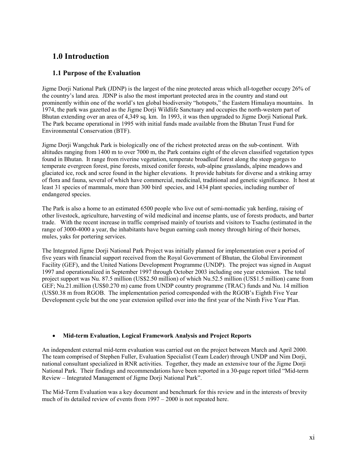# **1.0 Introduction**

## **1.1 Purpose of the Evaluation**

Jigme Dorji National Park (JDNP) is the largest of the nine protected areas which all-together occupy 26% of the country's land area. JDNP is also the most important protected area in the country and stand out prominently within one of the world's ten global biodiversity "hotspots," the Eastern Himalaya mountains. In 1974, the park was gazetted as the Jigme Dorji Wildlife Sanctuary and occupies the north-western part of Bhutan extending over an area of 4,349 sq. km. In 1993, it was then upgraded to Jigme Dorji National Park. The Park became operational in 1995 with initial funds made available from the Bhutan Trust Fund for Environmental Conservation (BTF).

Jigme Dorji Wangchuk Park is biologically one of the richest protected areas on the sub-continent. With altitudes ranging from 1400 m to over 7000 m, the Park contains eight of the eleven classified vegetation types found in Bhutan. It range from riverine vegetation, temperate broadleaf forest along the steep gorges to temperate evergreen forest, pine forests, mixed conifer forests, sub-alpine grasslands, alpine meadows and glaciated ice, rock and scree found in the higher elevations. It provide habitats for diverse and a striking array of flora and fauna, several of which have commercial, medicinal, traditional and genetic significance. It host at least 31 species of mammals, more than 300 bird species, and 1434 plant species, including number of endangered species.

The Park is also a home to an estimated 6500 people who live out of semi-nomadic yak herding, raising of other livestock, agriculture, harvesting of wild medicinal and incense plants, use of forests products, and barter trade. With the recent increase in traffic comprised mainly of tourists and visitors to Tsachu (estimated in the range of 3000-4000 a year, the inhabitants have begun earning cash money through hiring of their horses, mules, yaks for portering services.

The Integrated Jigme Dorji National Park Project was initially planned for implementation over a period of five years with financial support received from the Royal Government of Bhutan, the Global Environment Facility (GEF), and the United Nations Development Programme (UNDP). The project was signed in August 1997 and operationalized in September 1997 through October 2003 including one year extension. The total project support was Nu. 87.5 million (US\$2.50 million) of which Nu.52.5 million (US\$1.5 million) came from GEF; Nu.21.million (US\$0.270 m) came from UNDP country programme (TRAC) funds and Nu. 14 million (US\$0.38 m from RGOB. The implementation period corresponded with the RGOB's Eighth Five Year Development cycle but the one year extension spilled over into the first year of the Ninth Five Year Plan.

### • **Mid-term Evaluation, Logical Framework Analysis and Project Reports**

An independent external mid-term evaluation was carried out on the project between March and April 2000. The team comprised of Stephen Fuller, Evaluation Specialist (Team Leader) through UNDP and Nim Dorji, national consultant specialized in RNR activities. Together, they made an extensive tour of the Jigme Dorji National Park. Their findings and recommendations have been reported in a 30-page report titled "Mid-term Review – Integrated Management of Jigme Dorji National Park".

The Mid-Term Evaluation was a key document and benchmark for this review and in the interests of brevity much of its detailed review of events from 1997 – 2000 is not repeated here.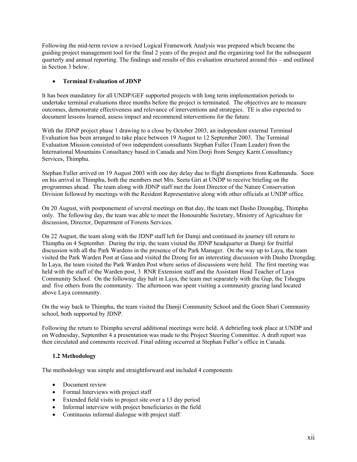Following the mid-term review a revised Logical Framework Analysis was prepared which became the guiding project management tool for the final 2 years of the project and the organizing tool for the subsequent quarterly and annual reporting. The findings and results of this evaluation structured around this – and outlined in Section 3 below.

## • **Terminal Evaluation of JDNP**

It has been mandatory for all UNDP/GEF supported projects with long term implementation periods to undertake terminal evaluations three months before the project is terminated. The objectives are to measure outcomes, demonstrate effectiveness and relevance of interventions and strategies. TE is also expected to document lessons learned, assess impact and recommend interventions for the future.

With the JDNP project phase 1 drawing to a close by October 2003, an independent external Terminal Evaluation has been arranged to take place between 19 August to 12 September 2003. The Terminal Evaluation Mission consisted of two independent consultants Stephan Fuller (Team Leader) from the International Mountains Consultancy based in Canada and Nim Dorji from Sengey Karm Consultancy Services, Thimphu.

Stephan Fuller arrived on 19 August 2003 with one day delay due to flight disruptions from Kathmandu. Soon on his arrival in Thimphu, both the members met Mrs. Seeta Giri at UNDP to receive briefing on the programmes ahead. The team along with JDNP staff met the Joint Director of the Nature Conservation Division followed by meetings with the Resident Representative along with other officials at UNDP office.

On 20 August, with postponement of several meetings on that day, the team met Dasho Dzongdag, Thimphu only. The following day, the team was able to meet the Honourable Secretary, Ministry of Agriculture for discussion, Director, Department of Forests Services.

On 22 August, the team along with the JDNP staff left for Damji and continued its journey till return to Thimphu on 4 September. During the trip, the team visited the JDNP headquarter at Damji for fruitful discussion with all the Park Wardens in the presence of the Park Manager. On the way up to Laya, the team visited the Park Warden Post at Gasa and visited the Dzong for an interesting discussion with Dasho Dzongdag. In Laya, the team visited the Park Warden Post where series of discussions were held. The first meeting was held with the staff of the Warden post, 3 RNR Extension staff and the Assistant Head Teacher of Laya Community School. On the following day halt in Laya, the team met separately with the Gup, the Tshogpa and five others from the community. The afternoon was spent visiting a community grazing land located above Laya community.

On the way back to Thimphu, the team visited the Damji Community School and the Goen Shari Community school, both supported by JDNP.

Following the return to Thimphu several additional meetings were held. A debriefing took place at UNDP and on Wednesday, September 4 a presentation was made to the Project Steering Committee. A draft report was then circulated and comments received. Final editing occurred at Stephan Fuller's office in Canada.

### **1.2 Methodology**

The methodology was simple and straightforward and included 4 components

- Document review
- Formal Interviews with project staff
- Extended field visits to project site over a 13 day period
- Informal interview with project beneficiaries in the field
- Continuous informal dialogue with project staff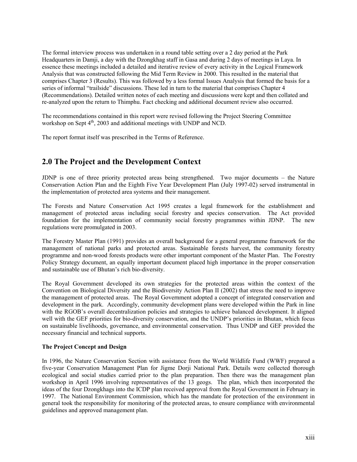The formal interview process was undertaken in a round table setting over a 2 day period at the Park Headquarters in Damji, a day with the Dzongkhag staff in Gasa and during 2 days of meetings in Laya. In essence these meetings included a detailed and iterative review of every activity in the Logical Framework Analysis that was constructed following the Mid Term Review in 2000. This resulted in the material that comprises Chapter 3 (Results). This was followed by a less formal Issues Analysis that formed the basis for a series of informal "trailside" discussions. These led in turn to the material that comprises Chapter 4 (Recommendations). Detailed written notes of each meeting and discussions were kept and then collated and re-analyzed upon the return to Thimphu. Fact checking and additional document review also occurred.

The recommendations contained in this report were revised following the Project Steering Committee workshop on Sept 4<sup>th</sup>, 2003 and additional meetings with UNDP and NCD.

The report format itself was prescribed in the Terms of Reference.

# **2.0 The Project and the Development Context**

JDNP is one of three priority protected areas being strengthened. Two major documents – the Nature Conservation Action Plan and the Eighth Five Year Development Plan (July 1997-02) served instrumental in the implementation of protected area systems and their management.

The Forests and Nature Conservation Act 1995 creates a legal framework for the establishment and management of protected areas including social forestry and species conservation. The Act provided foundation for the implementation of community social forestry programmes within JDNP. The new regulations were promulgated in 2003.

The Forestry Master Plan (1991) provides an overall background for a general programme framework for the management of national parks and protected areas. Sustainable forests harvest, the community forestry programme and non-wood forests products were other important component of the Master Plan. The Forestry Policy Strategy document, an equally important document placed high importance in the proper conservation and sustainable use of Bhutan's rich bio-diversity.

The Royal Government developed its own strategies for the protected areas within the context of the Convention on Biological Diversity and the Biodiversity Action Plan II (2002) that stress the need to improve the management of protected areas. The Royal Government adopted a concept of integrated conservation and development in the park. Accordingly, community development plans were developed within the Park in line with the RGOB's overall decentralization policies and strategies to achieve balanced development. It aligned well with the GEF priorities for bio-diversity conservation, and the UNDP's priorities in Bhutan, which focus on sustainable livelihoods, governance, and environmental conservation. Thus UNDP and GEF provided the necessary financial and technical supports.

### **The Project Concept and Design**

In 1996, the Nature Conservation Section with assistance from the World Wildlife Fund (WWF) prepared a five-year Conservation Management Plan for Jigme Dorji National Park. Details were collected thorough ecological and social studies carried prior to the plan preparation. Then there was the management plan workshop in April 1996 involving representatives of the 13 geogs. The plan, which then incorporated the ideas of the four Dzongkhags into the ICDP plan received approval from the Royal Government in February in 1997. The National Environment Commission, which has the mandate for protection of the environment in general took the responsibility for monitoring of the protected areas, to ensure compliance with environmental guidelines and approved management plan.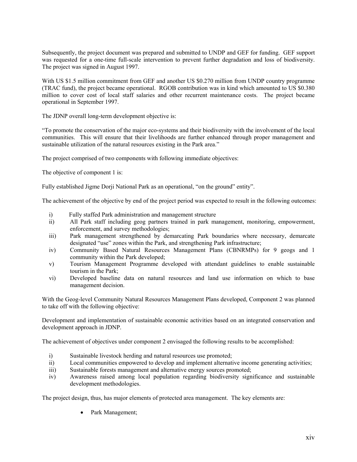Subsequently, the project document was prepared and submitted to UNDP and GEF for funding. GEF support was requested for a one-time full-scale intervention to prevent further degradation and loss of biodiversity. The project was signed in August 1997.

With US \$1.5 million commitment from GEF and another US \$0.270 million from UNDP country programme (TRAC fund), the project became operational. RGOB contribution was in kind which amounted to US \$0.380 million to cover cost of local staff salaries and other recurrent maintenance costs. The project became operational in September 1997.

The JDNP overall long-term development objective is:

"To promote the conservation of the major eco-systems and their biodiversity with the involvement of the local communities. This will ensure that their livelihoods are further enhanced through proper management and sustainable utilization of the natural resources existing in the Park area."

The project comprised of two components with following immediate objectives:

The objective of component 1 is:

Fully established Jigme Dorji National Park as an operational, "on the ground" entity".

The achievement of the objective by end of the project period was expected to result in the following outcomes:

- i) Fully staffed Park administration and management structure
- ii) All Park staff including geog partners trained in park management, monitoring, empowerment, enforcement, and survey methodologies;
- iii) Park management strengthened by demarcating Park boundaries where necessary, demarcate designated "use" zones within the Park, and strengthening Park infrastructure;
- iv) Community Based Natural Resources Management Plans (CBNRMPs) for 9 geogs and 1 community within the Park developed;
- v) Tourism Management Programme developed with attendant guidelines to enable sustainable tourism in the Park;
- vi) Developed baseline data on natural resources and land use information on which to base management decision.

With the Geog-level Community Natural Resources Management Plans developed, Component 2 was planned to take off with the following objective:

Development and implementation of sustainable economic activities based on an integrated conservation and development approach in JDNP.

The achievement of objectives under component 2 envisaged the following results to be accomplished:

- i) Sustainable livestock herding and natural resources use promoted;
- ii) Local communities empowered to develop and implement alternative income generating activities;
- iii) Sustainable forests management and alternative energy sources promoted;
- iv) Awareness raised among local population regarding biodiversity significance and sustainable development methodologies.

The project design, thus, has major elements of protected area management. The key elements are:

• Park Management;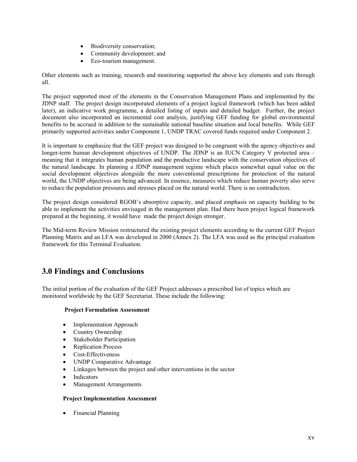- Biodiversity conservation;
- Community development; and
- Eco-tourism management.

Other elements such as training, research and monitoring supported the above key elements and cuts through all.

The project supported most of the elements in the Conservation Management Plans and implemented by the JDNP staff. The project design incorporated elements of a project logical framework (which has been added later), an indicative work programme, a detailed listing of inputs and detailed budget. Further, the project document also incorporated an incremental cost analysis, justifying GEF funding for global environmental benefits to be accrued in addition to the sustainable national baseline situation and local benefits. While GEF primarily supported activities under Component 1, UNDP TRAC covered funds required under Component 2.

It is important to emphasize that the GEF project was designed to be congruent with the agency objectives and longer-term human development objectives of UNDP. The JDNP is an IUCN Category V protected area – meaning that it integrates human population and the productive landscape with the conservation objectives of the natural landscape. In planning a JDNP management regime which places somewhat equal value on the social development objectives alongside the more conventional prescriptions for protection of the natural world, the UNDP objectives are being advanced. In essence, measures which reduce human poverty also serve to reduce the population pressures and stresses placed on the natural world. There is no contradiction.

The project design considered RGOB's absorptive capacity, and placed emphasis on capacity building to be able to implement the activities envisaged in the management plan. Had there been project logical framework prepared at the beginning, it would have made the project design stronger.

The Mid-term Review Mission restructured the existing project elements according to the current GEF Project Planning Matrix and an LFA was developed in 2000 (Annex 2). The LFA was used as the principal evaluation framework for this Terminal Evaluation.

# **3.0 Findings and Conclusions**

The initial portion of the evaluation of the GEF Project addresses a prescribed list of topics which are monitored worldwide by the GEF Secretariat. These include the following:

### **Project Formulation Assessment**

- Implementation Approach
- Country Ownership
- Stakeholder Participation
- Replication Process
- Cost-Effectiveness
- UNDP Comparative Advantage
- Linkages between the project and other interventions in the sector
- Indicators
- Management Arrangements

### **Project Implementation Assessment**

• Financial Planning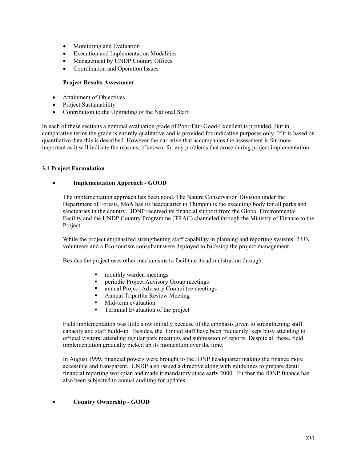- Monitoring and Evaluation
- Execution and Implementation Modalities
- Management by UNDP Country Offices
- Coordination and Operation Issues

#### **Project Results Assessment**

- Attainment of Objectives
- Project Sustainability
- Contribution to the Upgrading of the National Staff

In each of these sections a nominal evaluation grade of Poor-Fair-Good-Excellent is provided. But in comparative terms the grade is entirely qualitative and is provided for indicative purposes only. If it is based on quantitative data this is described. However the narrative that accompanies the assessment is far more important as it will indicate the reasons, if known, for any problems that arose during project implementation.

#### **3.1 Project Formulation**

#### • **Implementation Approach - GOOD**

The implementation approach has been good. The Nature Conservation Division under the Department of Forests, MoA has its headquarter in Thimphu is the executing body for all parks and sanctuaries in the country. JDNP received its financial support from the Global Environmental Facility and the UNDP Country Programme (TRAC) channeled through the Ministry of Finance to the Project.

While the project emphasized strengthening staff capability in planning and reporting systems, 2 UN volunteers and a Eco-tourism consultant were deployed to backstop the project management.

Besides the project uses other mechanisms to facilitate its administration through:

- monthly warden meetings
- periodic Project Advisory Group meetings
- annual Project Advisory Committee meetings
- Annual Tripartite Review Meeting
- Mid-term evaluation
- Terminal Evaluation of the project

Field implementation was little slow initially because of the emphasis given to strengthening staff capacity and staff build-up. Besides, the limited staff have been frequently kept busy attending to official visitors, attending regular park meetings and submission of reports. Despite all these, field implementation gradually picked up its momentum over the time.

In August 1999, financial powers were brought to the JDNP headquarter making the finance more accessible and transparent. UNDP also issued a directive along with guidelines to prepare detail financial reporting workplan and made it mandatory since early 2000. Further the JDNP finance has also been subjected to annual auditing for updates.

### • **Country Ownership - GOOD**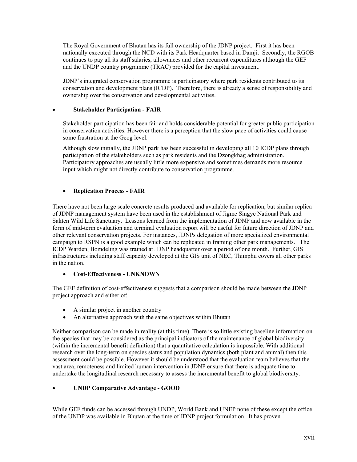The Royal Government of Bhutan has its full ownership of the JDNP project. First it has been nationally executed through the NCD with its Park Headquarter based in Damji. Secondly, the RGOB continues to pay all its staff salaries, allowances and other recurrent expenditures although the GEF and the UNDP country programme (TRAC) provided for the capital investment.

JDNP's integrated conservation programme is participatory where park residents contributed to its conservation and development plans (ICDP). Therefore, there is already a sense of responsibility and ownership over the conservation and developmental activities.

### • **Stakeholder Participation - FAIR**

Stakeholder participation has been fair and holds considerable potential for greater public participation in conservation activities. However there is a perception that the slow pace of activities could cause some frustration at the Geog level.

Although slow initially, the JDNP park has been successful in developing all 10 ICDP plans through participation of the stakeholders such as park residents and the Dzongkhag administration. Participatory approaches are usually little more expensive and sometimes demands more resource input which might not directly contribute to conservation programme.

## • **Replication Process - FAIR**

There have not been large scale concrete results produced and available for replication, but similar replica of JDNP management system have been used in the establishment of Jigme Singye National Park and Sakten Wild Life Sanctuary. Lessons learned from the implementation of JDNP and now available in the form of mid-term evaluation and terminal evaluation report will be useful for future direction of JDNP and other relevant conservation projects. For instances, JDNPs delegation of more specialized environmental campaign to RSPN is a good example which can be replicated in framing other park managements. The ICDP Warden, Bomdeling was trained at JDNP headquarter over a period of one month. Further, GIS infrastructures including staff capacity developed at the GIS unit of NEC, Thimphu covers all other parks in the nation.

### • **Cost-Effectiveness - UNKNOWN**

The GEF definition of cost-effectiveness suggests that a comparison should be made between the JDNP project approach and either of:

- A similar project in another country
- An alternative approach with the same objectives within Bhutan

Neither comparison can be made in reality (at this time). There is so little existing baseline information on the species that may be considered as the principal indicators of the maintenance of global biodiversity (within the incremental benefit definition) that a quantitative calculation is impossible. With additional research over the long-term on species status and population dynamics (both plant and animal) then this assessment could be possible. However it should be understood that the evaluation team believes that the vast area, remoteness and limited human intervention in JDNP ensure that there is adequate time to undertake the longitudinal research necessary to assess the incremental benefit to global biodiversity.

## • **UNDP Comparative Advantage - GOOD**

While GEF funds can be accessed through UNDP, World Bank and UNEP none of these except the office of the UNDP was available in Bhutan at the time of JDNP project formulation. It has proven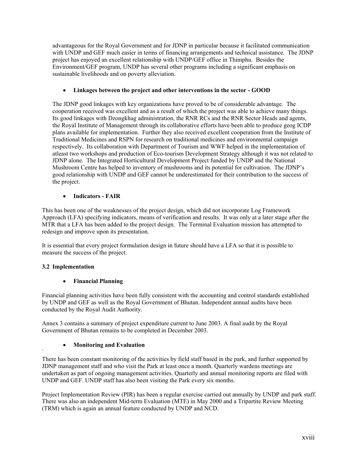advantageous for the Royal Government and for JDNP in particular because it facilitated communication with UNDP and GEF much easier in terms of financing arrangements and technical assistance. The JDNP project has enjoyed an excellent relationship with UNDP/GEF office in Thimphu. Besides the Environment/GEF program, UNDP has several other programs including a significant emphasis on sustainable livelihoods and on poverty alleviation.

## • **Linkages between the project and other interventions in the sector - GOOD**

The JDNP good linkages with key organizations have proved to be of considerable advantage. The cooperation received was excellent and as a result of which the project was able to achieve many things. Its good linkages with Dzongkhag administration, the RNR RCs and the RNR Sector Heads and agents, the Royal Institute of Management through its collaborative efforts have been able to produce geog ICDP plans available for implementation. Further they also received excellent cooperation from the Institute of Traditional Medicines and RSPN for research on traditional medicines and environmental campaign respectively. Its collaboration with Department of Tourism and WWF helped in the implementation of atleast two workshops and production of Eco-tourism Development Strategy although it was not related to JDNP alone. The Integrated Horticultural Development Project funded by UNDP and the National Mushroom Centre has helped to inventory of mushrooms and its potential for cultivation. The JDNP's good relationship with UNDP and GEF cannot be underestimated for their contribution to the success of the project.

## • **Indicators - FAIR**

This has been one of the weaknesses of the project design, which did not incorporate Log Framework Approach (LFA) specifying indicators, means of verification and results. It was only at a later stage after the MTR that a LFA has been added to the project design. The Terminal Evaluation mission has attempted to redesign and improve upon its presentation.

It is essential that every project formulation design in future should have a LFA so that it is possible to measure the success of the project.

## **3.2 Implementation**

`

### • **Financial Planning**

Financial planning activities have been fully consistent with the accounting and control standards established by UNDP and GEF as well as the Royal Government of Bhutan. Independent annual audits have been conducted by the Royal Audit Authority.

Annex 3 contains a summary of project expenditure current to June 2003. A final audit by the Royal Government of Bhutan remains to be completed in December 2003.

### • **Monitoring and Evaluation**

There has been constant monitoring of the activities by field staff based in the park, and further supported by JDNP management staff and who visit the Park at least once a month. Quarterly wardens meetings are undertaken as part of ongoing management activities. Quarterly and annual monitoring reports are filed with UNDP and GEF. UNDP staff has also been visiting the Park every six months.

Project Implementation Review (PIR) has been a regular exercise carried out annually by UNDP and park staff. There was also an independent Mid-term Evaluation (MTE) in May 2000 and a Tripartite Review Meeting (TRM) which is again an annual feature conducted by UNDP and NCD.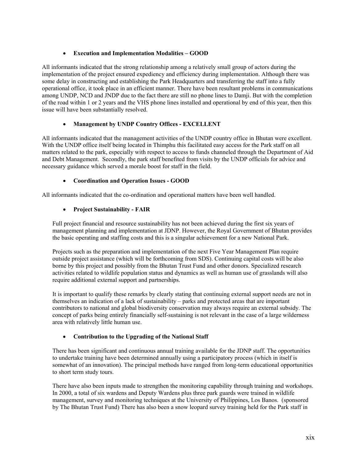## • **Execution and Implementation Modalities – GOOD**

All informants indicated that the strong relationship among a relatively small group of actors during the implementation of the project ensured expediency and efficiency during implementation. Although there was some delay in constructing and establishing the Park Headquarters and transferring the staff into a fully operational office, it took place in an efficient manner. There have been resultant problems in communications among UNDP, NCD and JNDP due to the fact there are still no phone lines to Damji. But with the completion of the road within 1 or 2 years and the VHS phone lines installed and operational by end of this year, then this issue will have been substantially resolved.

## • **Management by UNDP Country Offices - EXCELLENT**

All informants indicated that the management activities of the UNDP country office in Bhutan were excellent. With the UNDP office itself being located in Thimphu this facilitated easy access for the Park staff on all matters related to the park, especially with respect to access to funds channeled through the Department of Aid and Debt Management. Secondly, the park staff benefited from visits by the UNDP officials for advice and necessary guidance which served a morale boost for staff in the field.

## • **Coordination and Operation Issues - GOOD**

All informants indicated that the co-ordination and operational matters have been well handled.

## • **Project Sustainability - FAIR**

Full project financial and resource sustainability has not been achieved during the first six years of management planning and implementation at JDNP. However, the Royal Government of Bhutan provides the basic operating and staffing costs and this is a singular achievement for a new National Park.

Projects such as the preparation and implementation of the next Five Year Management Plan require outside project assistance (which will be forthcoming from SDS). Continuing capital costs will be also borne by this project and possibly from the Bhutan Trust Fund and other donors. Specialized research activities related to wildlife population status and dynamics as well as human use of grasslands will also require additional external support and partnerships.

It is important to qualify these remarks by clearly stating that continuing external support needs are not in themselves an indication of a lack of sustainability – parks and protected areas that are important contributors to national and global biodiversity conservation may always require an external subsidy. The concept of parks being entirely financially self-sustaining is not relevant in the case of a large wilderness area with relatively little human use.

### • **Contribution to the Upgrading of the National Staff**

There has been significant and continuous annual training available for the JDNP staff. The opportunities to undertake training have been determined annually using a participatory process (which in itself is somewhat of an innovation). The principal methods have ranged from long-term educational opportunities to short term study tours.

There have also been inputs made to strengthen the monitoring capability through training and workshops. In 2000, a total of six wardens and Deputy Wardens plus three park guards were trained in wildlife management, survey and monitoring techniques at the University of Philippines, Los Banos. (sponsored by The Bhutan Trust Fund) There has also been a snow leopard survey training held for the Park staff in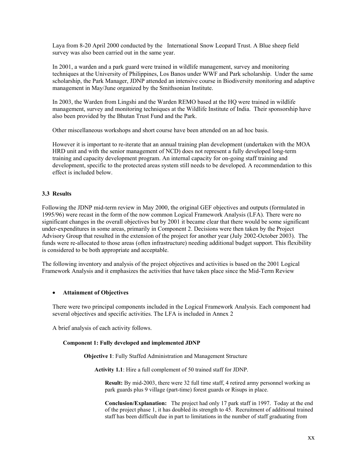Laya from 8-20 April 2000 conducted by the International Snow Leopard Trust. A Blue sheep field survey was also been carried out in the same year.

In 2001, a warden and a park guard were trained in wildlife management, survey and monitoring techniques at the University of Philippines, Los Banos under WWF and Park scholarship. Under the same scholarship, the Park Manager, JDNP attended an intensive course in Biodiversity monitoring and adaptive management in May/June organized by the Smithsonian Institute.

In 2003, the Warden from Lingshi and the Warden REMO based at the HQ were trained in wildlife management, survey and monitoring techniques at the Wildlife Institute of India. Their sponsorship have also been provided by the Bhutan Trust Fund and the Park.

Other miscellaneous workshops and short course have been attended on an ad hoc basis.

However it is important to re-iterate that an annual training plan development (undertaken with the MOA HRD unit and with the senior management of NCD) does not represent a fully developed long-term training and capacity development program. An internal capacity for on-going staff training and development, specific to the protected areas system still needs to be developed. A recommendation to this effect is included below.

#### **3.3 Results**

Following the JDNP mid-term review in May 2000, the original GEF objectives and outputs (formulated in 1995/96) were recast in the form of the now common Logical Framework Analysis (LFA). There were no significant changes in the overall objectives but by 2001 it became clear that there would be some significant under-expenditures in some areas, primarily in Component 2. Decisions were then taken by the Project Advisory Group that resulted in the extension of the project for another year (July 2002-October 2003). The funds were re-allocated to those areas (often infrastructure) needing additional budget support. This flexibility is considered to be both appropriate and acceptable.

The following inventory and analysis of the project objectives and activities is based on the 2001 Logical Framework Analysis and it emphasizes the activities that have taken place since the Mid-Term Review

#### • **Attainment of Objectives**

There were two principal components included in the Logical Framework Analysis. Each component had several objectives and specific activities. The LFA is included in Annex 2

A brief analysis of each activity follows.

#### **Component 1: Fully developed and implemented JDNP**

**Objective 1**: Fully Staffed Administration and Management Structure

**Activity 1.1**: Hire a full complement of 50 trained staff for JDNP.

**Result:** By mid-2003, there were 32 full time staff, 4 retired army personnel working as park guards plus 9 village (part-time) forest guards or Risups in place.

**Conclusion/Explanation:** The project had only 17 park staff in 1997. Today at the end of the project phase 1, it has doubled its strength to 45. Recruitment of additional trained staff has been difficult due in part to limitations in the number of staff graduating from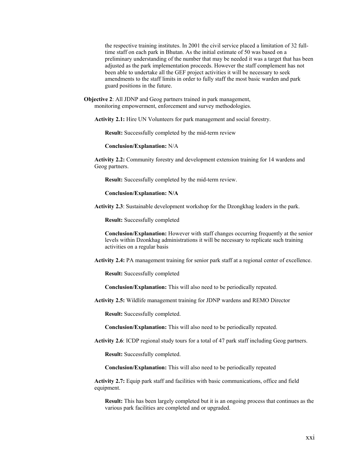the respective training institutes. In 2001 the civil service placed a limitation of 32 fulltime staff on each park in Bhutan. As the initial estimate of 50 was based on a preliminary understanding of the number that may be needed it was a target that has been adjusted as the park implementation proceeds. However the staff complement has not been able to undertake all the GEF project activities it will be necessary to seek amendments to the staff limits in order to fully staff the most basic warden and park guard positions in the future.

**Objective 2**: All JDNP and Geog partners trained in park management, monitoring empowerment, enforcement and survey methodologies.

**Activity 2.1:** Hire UN Volunteers for park management and social forestry.

**Result:** Successfully completed by the mid-term review

**Conclusion/Explanation:** N/A

**Activity 2.2:** Community forestry and development extension training for 14 wardens and Geog partners.

**Result:** Successfully completed by the mid-term review.

**Conclusion/Explanation: N/A**

**Activity 2.3**: Sustainable development workshop for the Dzongkhag leaders in the park.

**Result:** Successfully completed

**Conclusion/Explanation:** However with staff changes occurring frequently at the senior levels within Dzonkhag administrations it will be necessary to replicate such training activities on a regular basis

**Activity 2.4:** PA management training for senior park staff at a regional center of excellence.

**Result:** Successfully completed

**Conclusion/Explanation:** This will also need to be periodically repeated.

**Activity 2.5:** Wildlife management training for JDNP wardens and REMO Director

**Result:** Successfully completed.

**Conclusion/Explanation:** This will also need to be periodically repeated.

**Activity 2.6**: ICDP regional study tours for a total of 47 park staff including Geog partners.

**Result:** Successfully completed.

**Conclusion/Explanation:** This will also need to be periodically repeated

**Activity 2.7:** Equip park staff and facilities with basic communications, office and field equipment.

**Result:** This has been largely completed but it is an ongoing process that continues as the various park facilities are completed and or upgraded.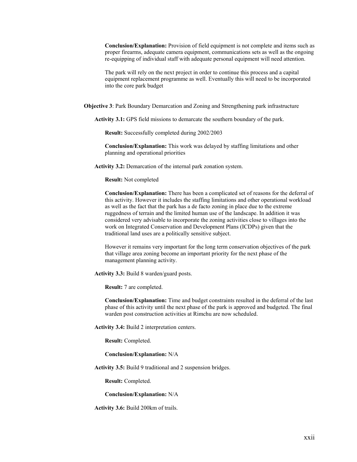**Conclusion/Explanation:** Provision of field equipment is not complete and items such as proper firearms, adequate camera equipment, communications sets as well as the ongoing re-equipping of individual staff with adequate personal equipment will need attention.

The park will rely on the next project in order to continue this process and a capital equipment replacement programme as well. Eventually this will need to be incorporated into the core park budget

**Objective 3**: Park Boundary Demarcation and Zoning and Strengthening park infrastructure

**Activity 3.1:** GPS field missions to demarcate the southern boundary of the park.

**Result:** Successfully completed during 2002/2003

**Conclusion/Explanation:** This work was delayed by staffing limitations and other planning and operational priorities

**Activity 3.2:** Demarcation of the internal park zonation system.

**Result:** Not completed

**Conclusion/Explanation:** There has been a complicated set of reasons for the deferral of this activity. However it includes the staffing limitations and other operational workload as well as the fact that the park has a de facto zoning in place due to the extreme ruggedness of terrain and the limited human use of the landscape. In addition it was considered very advisable to incorporate the zoning activities close to villages into the work on Integrated Conservation and Development Plans (ICDPs) given that the traditional land uses are a politically sensitive subject.

However it remains very important for the long term conservation objectives of the park that village area zoning become an important priority for the next phase of the management planning activity.

**Activity 3.3:** Build 8 warden/guard posts.

**Result:** 7 are completed.

**Conclusion/Explanation:** Time and budget constraints resulted in the deferral of the last phase of this activity until the next phase of the park is approved and budgeted. The final warden post construction activities at Rimchu are now scheduled.

**Activity 3.4:** Build 2 interpretation centers.

**Result:** Completed.

**Conclusion/Explanation:** N/A

**Activity 3.5:** Build 9 traditional and 2 suspension bridges.

**Result:** Completed.

**Conclusion/Explanation:** N/A

**Activity 3.6:** Build 200km of trails.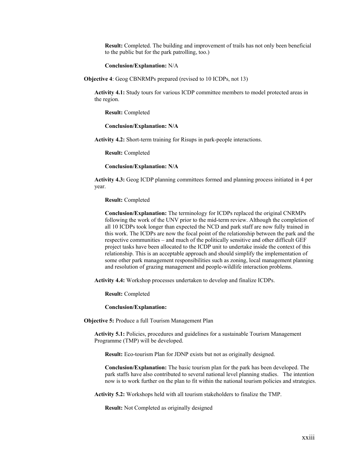**Result:** Completed. The building and improvement of trails has not only been beneficial to the public but for the park patrolling, too.)

**Conclusion/Explanation:** N/A

**Objective 4**: Geog CBNRMPs prepared (revised to 10 ICDPs, not 13)

**Activity 4.1:** Study tours for various ICDP committee members to model protected areas in the region.

**Result:** Completed

**Conclusion/Explanation: N/A**

**Activity 4.2:** Short-term training for Risups in park-people interactions.

**Result:** Completed

**Conclusion/Explanation: N/A**

**Activity 4.3:** Geog ICDP planning committees formed and planning process initiated in 4 per year.

**Result:** Completed

**Conclusion/Explanation:** The terminology for ICDPs replaced the original CNRMPs following the work of the UNV prior to the mid-term review. Although the completion of all 10 ICDPs took longer than expected the NCD and park staff are now fully trained in this work. The ICDPs are now the focal point of the relationship between the park and the respective communities – and much of the politically sensitive and other difficult GEF project tasks have been allocated to the ICDP unit to undertake inside the context of this relationship. This is an acceptable approach and should simplify the implementation of some other park management responsibilities such as zoning, local management planning and resolution of grazing management and people-wildlife interaction problems.

**Activity 4.4:** Workshop processes undertaken to develop and finalize ICDPs.

**Result:** Completed

**Conclusion/Explanation:**

**Objective 5:** Produce a full Tourism Management Plan

**Activity 5.1:** Policies, procedures and guidelines for a sustainable Tourism Management Programme (TMP) will be developed.

**Result:** Eco-tourism Plan for JDNP exists but not as originally designed.

**Conclusion/Explanation:** The basic tourism plan for the park has been developed. The park staffs have also contributed to several national level planning studies. The intention now is to work further on the plan to fit within the national tourism policies and strategies.

**Activity 5.2:** Workshops held with all tourism stakeholders to finalize the TMP.

**Result:** Not Completed as originally designed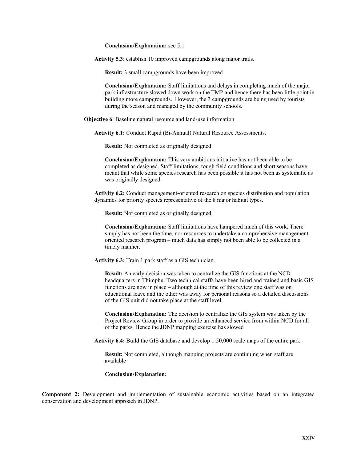**Conclusion/Explanation:** see 5.1

**Activity 5.3**: establish 10 improved campgrounds along major trails.

**Result:** 3 small campgrounds have been improved

**Conclusion/Explanation:** Staff limitations and delays in completing much of the major park infrastructure slowed down work on the TMP and hence there has been little point in building more campgrounds. However, the 3 campgrounds are being used by tourists during the season and managed by the community schools.

**Objective 6**: Baseline natural resource and land-use information

**Activity 6.1:** Conduct Rapid (Bi-Annual) Natural Resource Assessments.

**Result:** Not completed as originally designed

**Conclusion/Explanation:** This very ambitious initiative has not been able to be completed as designed. Staff limitations, tough field conditions and short seasons have meant that while some species research has been possible it has not been as systematic as was originally designed.

**Activity 6.2:** Conduct management-oriented research on species distribution and population dynamics for priority species representative of the 8 major habitat types.

**Result:** Not completed as originally designed

**Conclusion/Explanation:** Staff limitations have hampered much of this work. There simply has not been the time, nor resources to undertake a comprehensive management oriented research program – much data has simply not been able to be collected in a timely manner.

**Activity 6.3:** Train 1 park staff as a GIS technician.

**Result:** An early decision was taken to centralize the GIS functions at the NCD headquarters in Thimphu. Two technical staffs have been hired and trained and basic GIS functions are now in place – although at the time of this review one staff was on educational leave and the other was away for personal reasons so a detailed discussions of the GIS unit did not take place at the staff level.

**Conclusion/Explanation:** The decision to centralize the GIS system was taken by the Project Review Group in order to provide an enhanced service from within NCD for all of the parks. Hence the JDNP mapping exercise has slowed

**Activity 6.4:** Build the GIS database and develop 1:50,000 scale maps of the entire park.

**Result:** Not completed, although mapping projects are continuing when staff are available

#### **Conclusion/Explanation:**

**Component 2:** Development and implementation of sustainable economic activities based on an integrated conservation and development approach in JDNP.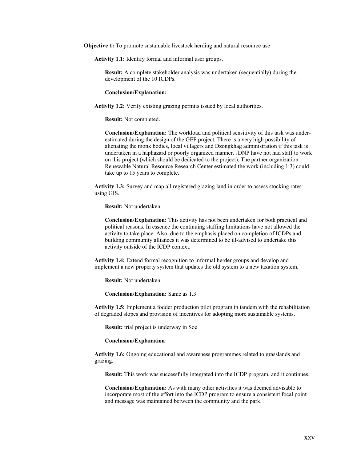**Objective 1:** To promote sustainable livestock herding and natural resource use

**Activity 1.1:** Identify formal and informal user groups.

**Result:** A complete stakeholder analysis was undertaken (sequentially) during the development of the 10 ICDPs.

#### **Conclusion/Explanation:**

**Activity 1.2:** Verify existing grazing permits issued by local authorities.

**Result:** Not completed.

**Conclusion/Explanation:** The workload and political sensitivity of this task was underestimated during the design of the GEF project. There is a very high possibility of alienating the monk bodies, local villagers and Dzongkhag administration if this task is undertaken in a haphazard or poorly organized manner. JDNP have not had staff to work on this project (which should be dedicated to the project). The partner organization Renewable Natural Resource Research Center estimated the work (including 1.3) could take up to 15 years to complete.

**Activity 1.3:** Survey and map all registered grazing land in order to assess stocking rates using GIS.

**Result:** Not undertaken.

**Conclusion/Explanation:** This activity has not been undertaken for both practical and political reasons. In essence the continuing staffing limitations have not allowed the activity to take place. Also, due to the emphasis placed on completion of ICDPs and building community alliances it was determined to be ill-advised to undertake this activity outside of the ICDP context.

**Activity 1.4:** Extend formal recognition to informal herder groups and develop and implement a new property system that updates the old system to a new taxation system.

**Result:** Not undertaken.

**Conclusion/Explanation:** Same as 1.3

**Activity 1.5:** Implement a fodder production pilot program in tandem with the rehabilitation of degraded slopes and provision of incentives for adopting more sustainable systems.

**Result:** trial project is underway in Soe

#### **Conclusion/Explanation**

**Activity 1.6:** Ongoing educational and awareness programmes related to grasslands and grazing.

**Result:** This work was successfully integrated into the ICDP program, and it continues.

**Conclusion/Explanation:** As with many other activities it was deemed advisable to incorporate most of the effort into the ICDP program to ensure a consistent focal point and message was maintained between the community and the park.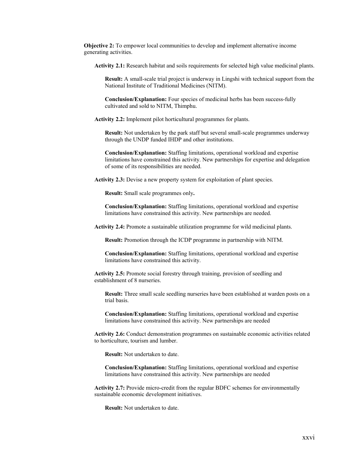**Objective 2:** To empower local communities to develop and implement alternative income generating activities.

**Activity 2.1:** Research habitat and soils requirements for selected high value medicinal plants.

**Result:** A small-scale trial project is underway in Lingshi with technical support from the National Institute of Traditional Medicines (NITM).

**Conclusion/Explanation:** Four species of medicinal herbs has been success-fully cultivated and sold to NITM, Thimphu.

**Activity 2.2:** Implement pilot horticultural programmes for plants.

**Result:** Not undertaken by the park staff but several small-scale programmes underway through the UNDP funded IHDP and other institutions.

**Conclusion/Explanation:** Staffing limitations, operational workload and expertise limitations have constrained this activity. New partnerships for expertise and delegation of some of its responsibilities are needed.

**Activity 2.3:** Devise a new property system for exploitation of plant species.

**Result:** Small scale programmes only**.** 

**Conclusion/Explanation:** Staffing limitations, operational workload and expertise limitations have constrained this activity. New partnerships are needed.

**Activity 2.4:** Promote a sustainable utilization programme for wild medicinal plants.

**Result:** Promotion through the ICDP programme in partnership with NITM.

**Conclusion/Explanation:** Staffing limitations, operational workload and expertise limitations have constrained this activity.

**Activity 2.5:** Promote social forestry through training, provision of seedling and establishment of 8 nurseries.

**Result:** Three small scale seedling nurseries have been established at warden posts on a trial basis.

**Conclusion/Explanation:** Staffing limitations, operational workload and expertise limitations have constrained this activity. New partnerships are needed

**Activity 2.6:** Conduct demonstration programmes on sustainable economic activities related to horticulture, tourism and lumber.

**Result:** Not undertaken to date.

**Conclusion/Explanation:** Staffing limitations, operational workload and expertise limitations have constrained this activity. New partnerships are needed

**Activity 2.7:** Provide micro-credit from the regular BDFC schemes for environmentally sustainable economic development initiatives.

**Result:** Not undertaken to date.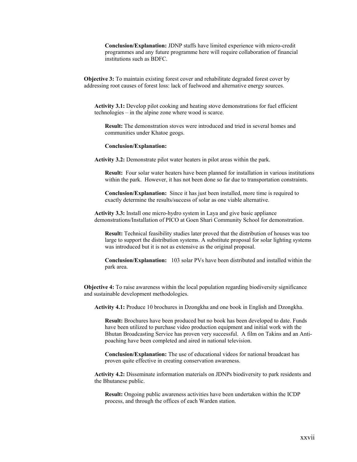**Conclusion/Explanation:** JDNP staffs have limited experience with micro-credit programmes and any future programme here will require collaboration of financial institutions such as BDFC.

**Objective 3:** To maintain existing forest cover and rehabilitate degraded forest cover by addressing root causes of forest loss: lack of fuelwood and alternative energy sources.

**Activity 3.1:** Develop pilot cooking and heating stove demonstrations for fuel efficient technologies – in the alpine zone where wood is scarce.

**Result:** The demonstration stoves were introduced and tried in several homes and communities under Khatoe geogs.

#### **Conclusion/Explanation:**

**Activity 3.2:** Demonstrate pilot water heaters in pilot areas within the park.

**Result:** Four solar water heaters have been planned for installation in various institutions within the park. However, it has not been done so far due to transportation constraints.

**Conclusion/Explanation:** Since it has just been installed, more time is required to exactly determine the results/success of solar as one viable alternative.

**Activity 3.3:** Install one micro-hydro system in Laya and give basic appliance demonstrations/Installation of PICO at Goen Shari Community School for demonstration.

**Result:** Technical feasibility studies later proved that the distribution of houses was too large to support the distribution systems. A substitute proposal for solar lighting systems was introduced but it is not as extensive as the original proposal.

**Conclusion/Explanation:** 103 solar PVs have been distributed and installed within the park area.

**Objective 4:** To raise awareness within the local population regarding biodiversity significance and sustainable development methodologies.

**Activity 4.1:** Produce 10 brochures in Dzongkha and one book in English and Dzongkha.

**Result:** Brochures have been produced but no book has been developed to date. Funds have been utilized to purchase video production equipment and initial work with the Bhutan Broadcasting Service has proven very successful. A film on Takins and an Antipoaching have been completed and aired in national television.

**Conclusion/Explanation:** The use of educational videos for national broadcast has proven quite effective in creating conservation awareness.

**Activity 4.2:** Disseminate information materials on JDNPs biodiversity to park residents and the Bhutanese public.

**Result:** Ongoing public awareness activities have been undertaken within the ICDP process, and through the offices of each Warden station.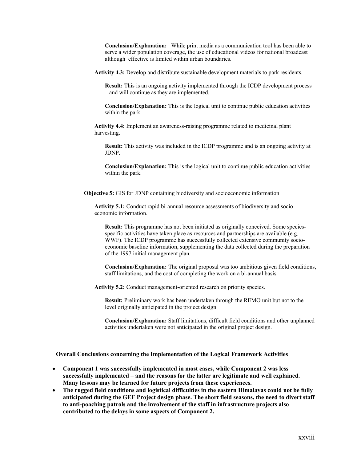**Conclusion/Explanation:** While print media as a communication tool has been able to serve a wider population coverage, the use of educational videos for national broadcast although effective is limited within urban boundaries.

**Activity 4.3:** Develop and distribute sustainable development materials to park residents.

**Result:** This is an ongoing activity implemented through the ICDP development process – and will continue as they are implemented.

**Conclusion/Explanation:** This is the logical unit to continue public education activities within the park

**Activity 4.4:** Implement an awareness-raising programme related to medicinal plant harvesting.

**Result:** This activity was included in the ICDP programme and is an ongoing activity at JDNP.

**Conclusion/Explanation:** This is the logical unit to continue public education activities within the park.

**Objective 5:** GIS for JDNP containing biodiversity and socioeconomic information

**Activity 5.1:** Conduct rapid bi-annual resource assessments of biodiversity and socioeconomic information.

**Result:** This programme has not been initiated as originally conceived. Some speciesspecific activities have taken place as resources and partnerships are available (e.g. WWF). The ICDP programme has successfully collected extensive community socioeconomic baseline information, supplementing the data collected during the preparation of the 1997 initial management plan.

**Conclusion/Explanation:** The original proposal was too ambitious given field conditions, staff limitations, and the cost of completing the work on a bi-annual basis.

**Activity 5.2:** Conduct management-oriented research on priority species.

**Result:** Preliminary work has been undertaken through the REMO unit but not to the level originally anticipated in the project design

**Conclusion/Explanation:** Staff limitations, difficult field conditions and other unplanned activities undertaken were not anticipated in the original project design.

**Overall Conclusions concerning the Implementation of the Logical Framework Activities**

- **Component 1 was successfully implemented in most cases, while Component 2 was less successfully implemented – and the reasons for the latter are legitimate and well explained. Many lessons may be learned for future projects from these experiences.**
- **The rugged field conditions and logistical difficulties in the eastern Himalayas could not be fully anticipated during the GEF Project design phase. The short field seasons, the need to divert staff to anti-poaching patrols and the involvement of the staff in infrastructure projects also contributed to the delays in some aspects of Component 2.**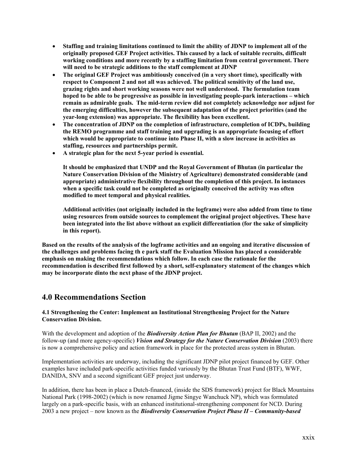- **Staffing and training limitations continued to limit the ability of JDNP to implement all of the originally proposed GEF Project activities. This caused by a lack of suitable recruits, difficult working conditions and more recently by a staffing limitation from central government. There will need to be strategic additions to the staff complement at JDNP**
- **The original GEF Project was ambitiously conceived (in a very short time), specifically with respect to Component 2 and not all was achieved. The political sensitivity of the land use, grazing rights and short working seasons were not well understood. The formulation team hoped to be able to be progressive as possible in investigating people-park interactions – which remain as admirable goals. The mid-term review did not completely acknowledge nor adjust for the emerging difficulties, however the subsequent adaptation of the project priorities (and the year-long extension) was appropriate. The flexibility has been excellent.**
- **The concentration of JDNP on the completion of infrastructure, completion of ICDPs, building the REMO programme and staff training and upgrading is an appropriate focusing of effort which would be appropriate to continue into Phase II, with a slow increase in activities as staffing, resources and partnerships permit.**
- **A strategic plan for the next 5-year period is essential.**

**It should be emphasized that UNDP and the Royal Government of Bhutan (in particular the Nature Conservation Division of the Ministry of Agriculture) demonstrated considerable (and appropriate) administrative flexibility throughout the completion of this project. In instances when a specific task could not be completed as originally conceived the activity was often modified to meet temporal and physical realities.** 

**Additional activities (not originally included in the logframe) were also added from time to time using resources from outside sources to complement the original project objectives. These have been integrated into the list above without an explicit differentiation (for the sake of simplicity in this report).**

**Based on the results of the analysis of the logframe activities and an ongoing and iterative discussion of the challenges and problems facing th e park staff the Evaluation Mission has placed a considerable emphasis on making the recommendations which follow. In each case the rationale for the recommendation is described first followed by a short, self-explanatory statement of the changes which may be incorporate dinto the next phase of the JDNP project.**

## **4.0 Recommendations Section**

### **4.1 Strengthening the Center: Implement an Institutional Strengthening Project for the Nature Conservation Division.**

With the development and adoption of the *Biodiversity Action Plan for Bhutan* (BAP II, 2002) and the follow-up (and more agency-specific) *Vision and Strategy for the Nature Conservation Division* (2003) there is now a comprehensive policy and action framework in place for the protected areas system in Bhutan.

Implementation activities are underway, including the significant JDNP pilot project financed by GEF. Other examples have included park-specific activities funded variously by the Bhutan Trust Fund (BTF), WWF, DANIDA, SNV and a second significant GEF project just underway.

In addition, there has been in place a Dutch-financed, (inside the SDS framework) project for Black Mountains National Park (1998-2002) (which is now renamed Jigme Singye Wanchuck NP), which was formulated largely on a park-specific basis, with an enhanced institutional-strengthening component for NCD. During 2003 a new project – now known as the *Biodiversity Conservation Project Phase II – Community-based*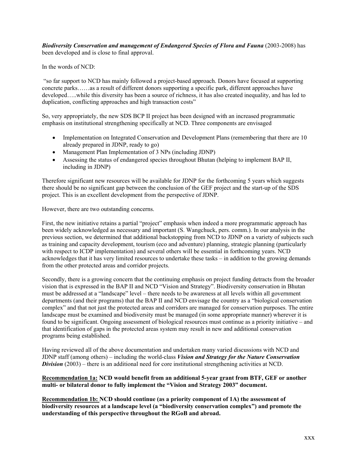*Biodiversity Conservation and management of Endangered Species of Flora and Fauna* (2003-2008) has been developed and is close to final approval.

In the words of NCD:

"so far support to NCD has mainly followed a project-based approach. Donors have focused at supporting concrete parks……as a result of different donors supporting a specific park, different approaches have developed…..while this diversity has been a source of richness, it has also created inequality, and has led to duplication, conflicting approaches and high transaction costs"

So, very appropriately, the new SDS BCP II project has been designed with an increased programmatic emphasis on institutional strengthening specifically at NCD. Three components are envisaged

- Implementation on Integrated Conservation and Development Plans (remembering that there are 10 already prepared in JDNP, ready to go)
- Management Plan Implementation of 3 NPs (including JDNP)
- Assessing the status of endangered species throughout Bhutan (helping to implement BAP II, including in JDNP)

Therefore significant new resources will be available for JDNP for the forthcoming 5 years which suggests there should be no significant gap between the conclusion of the GEF project and the start-up of the SDS project. This is an excellent development from the perspective of JDNP.

However, there are two outstanding concerns.

First, the new initiative retains a partial "project" emphasis when indeed a more programmatic approach has been widely acknowledged as necessary and important (S. Wangchuck, pers. comm.). In our analysis in the previous section, we determined that additional backstopping from NCD to JDNP on a variety of subjects such as training and capacity development, tourism (eco and adventure) planning, strategic planning (particularly with respect to ICDP implementation) and several others will be essential in forthcoming years. NCD acknowledges that it has very limited resources to undertake these tasks – in addition to the growing demands from the other protected areas and corridor projects.

Secondly, there is a growing concern that the continuing emphasis on project funding detracts from the broader vision that is expressed in the BAP II and NCD "Vision and Strategy". Biodiversity conservation in Bhutan must be addressed at a "landscape" level – there needs to be awareness at all levels within all government departments (and their programs) that the BAP II and NCD envisage the country as a "biological conservation complex" and that not just the protected areas and corridors are managed for conservation purposes. The entire landscape must be examined and biodiversity must be managed (in some appropriate manner) wherever it is found to be significant. Ongoing assessment of biological resources must continue as a priority initiative – and that identification of gaps in the protected areas system may result in new and additional conservation programs being established.

Having reviewed all of the above documentation and undertaken many varied discussions with NCD and JDNP staff (among others) – including the world-class *Vision and Strategy for the Nature Conservation Division* (2003) – there is an additional need for core institutional strengthening activities at NCD.

#### **Recommendation 1a: NCD would benefit from an additional 5-year grant from BTF, GEF or another multi- or bilateral donor to fully implement the "Vision and Strategy 2003" document.**

**Recommendation 1b: NCD should continue (as a priority component of 1A) the assessment of biodiversity resources at a landscape level (a "biodiversity conservation complex") and promote the understanding of this perspective throughout the RGoB and abroad.**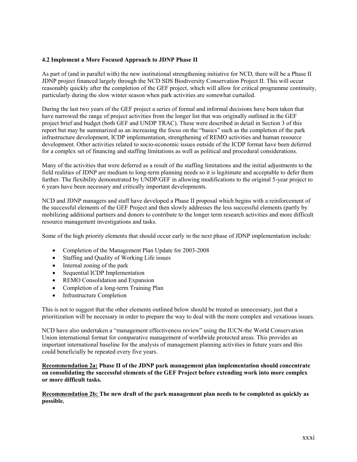### **4.2 Implement a More Focused Approach to JDNP Phase II**

As part of (and in parallel with) the new institutional strengthening initiative for NCD, there will be a Phase II JDNP project financed largely through the NCD SDS Biodiversity Conservation Project II. This will occur reasonably quickly after the completion of the GEF project, which will allow for critical programme continuity, particularly during the slow winter season when park activities are somewhat curtailed.

During the last two years of the GEF project a series of formal and informal decisions have been taken that have narrowed the range of project activities from the longer list that was originally outlined in the GEF project brief and budget (both GEF and UNDP TRAC). These were described in detail in Section 3 of this report but may be summarized as an increasing the focus on the "basics" such as the completion of the park infrastructure development, ICDP implementation, strengthening of REMO activities and human resource development. Other activities related to socio-economic issues outside of the ICDP format have been deferred for a complex set of financing and staffing limitations as well as political and procedural considerations.

Many of the activities that were deferred as a result of the staffing limitations and the initial adjustments to the field realities of JDNP are medium to long-term planning needs so it is legitimate and acceptable to defer them further. The flexibility demonstrated by UNDP/GEF in allowing modifications to the original 5-year project to 6 years have been necessary and critically important developments.

NCD and JDNP managers and staff have developed a Phase II proposal which begins with a reinforcement of the successful elements of the GEF Project and then slowly addresses the less successful elements (partly by mobilizing additional partners and donors to contribute to the longer term research activities and more difficult resource management investigations and tasks.

Some of the high priority elements that should occur early in the next phase of JDNP implementation include:

- Completion of the Management Plan Update for 2003-2008
- Staffing and Quality of Working Life issues
- Internal zoning of the park
- Sequential ICDP Implementation
- REMO Consolidation and Expansion
- Completion of a long-term Training Plan
- Infrastructure Completion

This is not to suggest that the other elements outlined below should be treated as unnecessary, just that a prioritization will be necessary in order to prepare the way to deal with the more complex and vexatious issues.

NCD have also undertaken a "management effectiveness review" using the IUCN-the World Conservation Union international format for comparative management of worldwide protected areas. This provides an important international baseline for the analysis of management planning activities in future years and this could beneficially be repeated every five years.

#### **Recommendation 2a: Phase II of the JDNP park management plan implementation should concentrate on consolidating the successful elements of the GEF Project before extending work into more complex or more difficult tasks.**

**Recommendation 2b: The new draft of the park management plan needs to be completed as quickly as possible.**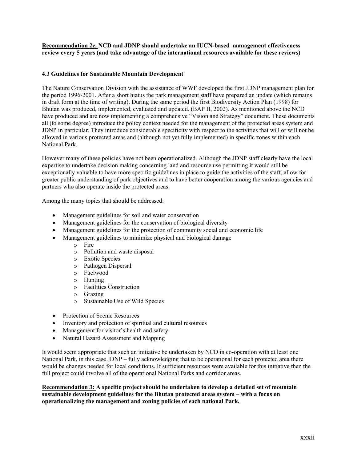**Recommendation 2c. NCD and JDNP should undertake an IUCN-based management effectiveness review every 5 years (and take advantage of the international resources available for these reviews)**

#### **4.3 Guidelines for Sustainable Mountain Development**

The Nature Conservation Division with the assistance of WWF developed the first JDNP management plan for the period 1996-2001. After a short hiatus the park management staff have prepared an update (which remains in draft form at the time of writing). During the same period the first Biodiversity Action Plan (1998) for Bhutan was produced, implemented, evaluated and updated. (BAP II, 2002). As mentioned above the NCD have produced and are now implementing a comprehensive "Vision and Strategy" document. These documents all (to some degree) introduce the policy context needed for the management of the protected areas system and JDNP in particular. They introduce considerable specificity with respect to the activities that will or will not be allowed in various protected areas and (although not yet fully implemented) in specific zones within each National Park.

However many of these policies have not been operationalized. Although the JDNP staff clearly have the local expertise to undertake decision making concerning land and resource use permitting it would still be exceptionally valuable to have more specific guidelines in place to guide the activities of the staff, allow for greater public understanding of park objectives and to have better cooperation among the various agencies and partners who also operate inside the protected areas.

Among the many topics that should be addressed:

- Management guidelines for soil and water conservation
- Management guidelines for the conservation of biological diversity
- Management guidelines for the protection of community social and economic life
- Management guidelines to minimize physical and biological damage
	- o Fire
	- o Pollution and waste disposal
	- o Exotic Species
	- o Pathogen Dispersal
	- o Fuelwood
	- o Hunting
	- o Facilities Construction
	- o Grazing
	- o Sustainable Use of Wild Species
- Protection of Scenic Resources
- Inventory and protection of spiritual and cultural resources
- Management for visitor's health and safety
- Natural Hazard Assessment and Mapping

It would seem appropriate that such an initiative be undertaken by NCD in co-operation with at least one National Park, in this case JDNP – fully acknowledging that to be operational for each protected area there would be changes needed for local conditions. If sufficient resources were available for this initiative then the full project could involve all of the operational National Parks and corridor areas.

**Recommendation 3: A specific project should be undertaken to develop a detailed set of mountain sustainable development guidelines for the Bhutan protected areas system – with a focus on operationalizing the management and zoning policies of each national Park.**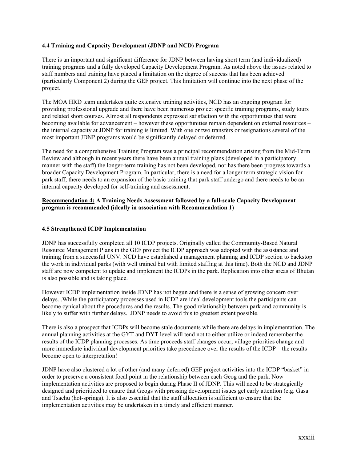#### **4.4 Training and Capacity Development (JDNP and NCD) Program**

There is an important and significant difference for JDNP between having short term (and individualized) training programs and a fully developed Capacity Development Program. As noted above the issues related to staff numbers and training have placed a limitation on the degree of success that has been achieved (particularly Component 2) during the GEF project. This limitation will continue into the next phase of the project.

The MOA HRD team undertakes quite extensive training activities, NCD has an ongoing program for providing professional upgrade and there have been numerous project specific training programs, study tours and related short courses. Almost all respondents expressed satisfaction with the opportunities that were becoming available for advancement – however these opportunities remain dependent on external resources – the internal capacity at JDNP for training is limited. With one or two transfers or resignations several of the most important JDNP programs would be significantly delayed or deferred.

The need for a comprehensive Training Program was a principal recommendation arising from the Mid-Term Review and although in recent years there have been annual training plans (developed in a participatory manner with the staff) the longer-term training has not been developed, nor has there been progress towards a broader Capacity Development Program. In particular, there is a need for a longer term strategic vision for park staff; there needs to an expansion of the basic training that park staff undergo and there needs to be an internal capacity developed for self-training and assessment.

#### **Recommendation 4: A Training Needs Assessment followed by a full-scale Capacity Development program is recommended (ideally in association with Recommendation 1)**

#### **4.5 Strengthened ICDP Implementation**

JDNP has successfully completed all 10 ICDP projects. Originally called the Community-Based Natural Resource Management Plans in the GEF project the ICDP approach was adopted with the assistance and training from a successful UNV. NCD have established a management planning and ICDP section to backstop the work in individual parks (with well trained but with limited staffing at this time). Both the NCD and JDNP staff are now competent to update and implement the ICDPs in the park. Replication into other areas of Bhutan is also possible and is taking place.

However ICDP implementation inside JDNP has not begun and there is a sense of growing concern over delays. .While the participatory processes used in ICDP are ideal development tools the participants can become cynical about the procedures and the results. The good relationship between park and community is likely to suffer with further delays. JDNP needs to avoid this to greatest extent possible.

There is also a prospect that ICDPs will become stale documents while there are delays in implementation. The annual planning activities at the GYT and DYT level will tend not to either utilize or indeed remember the results of the ICDP planning processes. As time proceeds staff changes occur, village priorities change and more immediate individual development priorities take precedence over the results of the ICDP – the results become open to interpretation!

JDNP have also clustered a lot of other (and many deferred) GEF project activities into the ICDP "basket" in order to preserve a consistent focal point in the relationship between each Geog and the park. Now implementation activities are proposed to begin during Phase II of JDNP. This will need to be strategically designed and prioritized to ensure that Geogs with pressing development issues get early attention (e.g. Gasa and Tsachu (hot-springs). It is also essential that the staff allocation is sufficient to ensure that the implementation activities may be undertaken in a timely and efficient manner.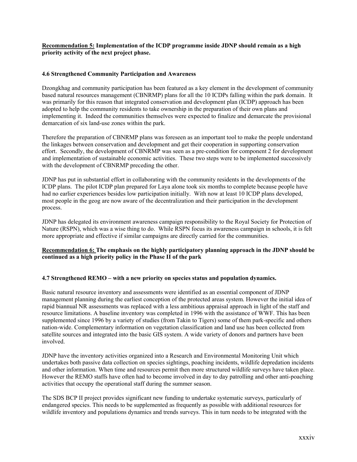#### **Recommendation 5: Implementation of the ICDP programme inside JDNP should remain as a high priority activity of the next project phase.**

#### **4.6 Strengthened Community Participation and Awareness**

Dzongkhag and community participation has been featured as a key element in the development of community based natural resources management (CBNRMP) plans for all the 10 ICDPs falling within the park domain. It was primarily for this reason that integrated conservation and development plan (ICDP) approach has been adopted to help the community residents to take ownership in the preparation of their own plans and implementing it. Indeed the communities themselves were expected to finalize and demarcate the provisional demarcation of six land-use zones within the park.

Therefore the preparation of CBNRMP plans was foreseen as an important tool to make the people understand the linkages between conservation and development and get their cooperation in supporting conservation effort. Secondly, the development of CBNRMP was seen as a pre-condition for component 2 for development and implementation of sustainable economic activities. These two steps were to be implemented successively with the development of CBNRMP preceding the other.

JDNP has put in substantial effort in collaborating with the community residents in the developments of the ICDP plans. The pilot ICDP plan prepared for Laya alone took six months to complete because people have had no earlier experiences besides low participation initially. With now at least 10 ICDP plans developed, most people in the geog are now aware of the decentralization and their participation in the development process.

JDNP has delegated its environment awareness campaign responsibility to the Royal Society for Protection of Nature (RSPN), which was a wise thing to do. While RSPN focus its awareness campaign in schools, it is felt more appropriate and effective if similar campaigns are directly carried for the communities.

#### **Recommendation 6: The emphasis on the highly participatory planning approach in the JDNP should be continued as a high priority policy in the Phase II of the park**

#### **4.7 Strengthened REMO – with a new priority on species status and population dynamics.**

Basic natural resource inventory and assessments were identified as an essential component of JDNP management planning during the earliest conception of the protected areas system. However the initial idea of rapid biannual NR assessments was replaced with a less ambitious appraisal approach in light of the staff and resource limitations. A baseline inventory was completed in 1996 with the assistance of WWF. This has been supplemented since 1996 by a variety of studies (from Takin to Tigers) some of them park-specific and others nation-wide. Complementary information on vegetation classification and land use has been collected from satellite sources and integrated into the basic GIS system. A wide variety of donors and partners have been involved.

JDNP have the inventory activities organized into a Research and Environmental Monitoring Unit which undertakes both passive data collection on species sightings, poaching incidents, wildlife depredation incidents and other information. When time and resources permit then more structured wildlife surveys have taken place. However the REMO staffs have often had to become involved in day to day patrolling and other anti-poaching activities that occupy the operational staff during the summer season.

The SDS BCP II project provides significant new funding to undertake systematic surveys, particularly of endangered species. This needs to be supplemented as frequently as possible with additional resources for wildlife inventory and populations dynamics and trends surveys. This in turn needs to be integrated with the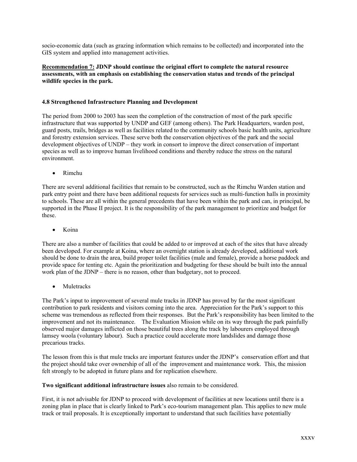socio-economic data (such as grazing information which remains to be collected) and incorporated into the GIS system and applied into management activities.

#### **Recommendation 7: JDNP should continue the original effort to complete the natural resource assessments, with an emphasis on establishing the conservation status and trends of the principal wildlife species in the park.**

#### **4.8 Strengthened Infrastructure Planning and Development**

The period from 2000 to 2003 has seen the completion of the construction of most of the park specific infrastructure that was supported by UNDP and GEF (among others). The Park Headquarters, warden post, guard posts, trails, bridges as well as facilities related to the community schools basic health units, agriculture and forestry extension services. These serve both the conservation objectives of the park and the social development objectives of UNDP – they work in consort to improve the direct conservation of important species as well as to improve human livelihood conditions and thereby reduce the stress on the natural environment.

• Rimchu

There are several additional facilities that remain to be constructed, such as the Rimchu Warden station and park entry point and there have been additional requests for services such as multi-function halls in proximity to schools. These are all within the general precedents that have been within the park and can, in principal, be supported in the Phase II project. It is the responsibility of the park management to prioritize and budget for these.

• Koina

There are also a number of facilities that could be added to or improved at each of the sites that have already been developed. For example at Koina, where an overnight station is already developed, additional work should be done to drain the area, build proper toilet facilities (male and female), provide a horse paddock and provide space for tenting etc. Again the prioritization and budgeting for these should be built into the annual work plan of the JDNP – there is no reason, other than budgetary, not to proceed.

• Muletracks

The Park's input to improvement of several mule tracks in JDNP has proved by far the most significant contribution to park residents and visitors coming into the area. Appreciation for the Park's support to this scheme was tremendous as reflected from their responses. But the Park's responsibility has been limited to the improvement and not its maintenance. The Evaluation Mission while on its way through the park painfully observed major damages inflicted on those beautiful trees along the track by labourers employed through lamsey woola (voluntary labour). Such a practice could accelerate more landslides and damage those precarious tracks.

The lesson from this is that mule tracks are important features under the JDNP's conservation effort and that the project should take over ownership of all of the improvement and maintenance work. This, the mission felt strongly to be adopted in future plans and for replication elsewhere.

**Two significant additional infrastructure issues** also remain to be considered.

First, it is not advisable for JDNP to proceed with development of facilities at new locations until there is a zoning plan in place that is clearly linked to Park's eco-tourism management plan. This applies to new mule track or trail proposals. It is exceptionally important to understand that such facilities have potentially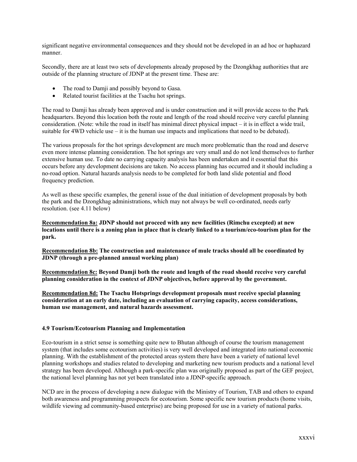significant negative environmental consequences and they should not be developed in an ad hoc or haphazard manner.

Secondly, there are at least two sets of developments already proposed by the Dzongkhag authorities that are outside of the planning structure of JDNP at the present time. These are:

- The road to Damji and possibly beyond to Gasa.
- Related tourist facilities at the Tsachu hot springs.

The road to Damji has already been approved and is under construction and it will provide access to the Park headquarters. Beyond this location both the route and length of the road should receive very careful planning consideration. (Note: while the road in itself has minimal direct physical impact – it is in effect a wide trail, suitable for  $4WD$  vehicle use – it is the human use impacts and implications that need to be debated).

The various proposals for the hot springs development are much more problematic than the road and deserve even more intense planning consideration. The hot springs are very small and do not lend themselves to further extensive human use. To date no carrying capacity analysis has been undertaken and it essential that this occurs before any development decisions are taken. No access planning has occurred and it should including a no-road option. Natural hazards analysis needs to be completed for both land slide potential and flood frequency prediction.

As well as these specific examples, the general issue of the dual initiation of development proposals by both the park and the Dzongkhag administrations, which may not always be well co-ordinated, needs early resolution. (see 4.11 below)

**Recommendation 8a: JDNP should not proceed with any new facilities (Rimchu excepted) at new locations until there is a zoning plan in place that is clearly linked to a tourism/eco-tourism plan for the park.**

**Recommendation 8b: The construction and maintenance of mule tracks should all be coordinated by JDNP (through a pre-planned annual working plan)**

**Recommendation 8c: Beyond Damji both the route and length of the road should receive very careful planning consideration in the context of JDNP objectives, before approval by the government.**

**Recommendation 8d: The Tsachu Hotsprings development proposals must receive special planning consideration at an early date, including an evaluation of carrying capacity, access considerations, human use management, and natural hazards assessment.**

#### **4.9 Tourism/Ecotourism Planning and Implementation**

Eco-tourism in a strict sense is something quite new to Bhutan although of course the tourism management system (that includes some ecotourism activities) is very well developed and integrated into national economic planning. With the establishment of the protected areas system there have been a variety of national level planning workshops and studies related to developing and marketing new tourism products and a national level strategy has been developed. Although a park-specific plan was originally proposed as part of the GEF project, the national level planning has not yet been translated into a JDNP-specific approach.

NCD are in the process of developing a new dialogue with the Ministry of Tourism, TAB and others to expand both awareness and programming prospects for ecotourism. Some specific new tourism products (home visits, wildlife viewing ad community-based enterprise) are being proposed for use in a variety of national parks.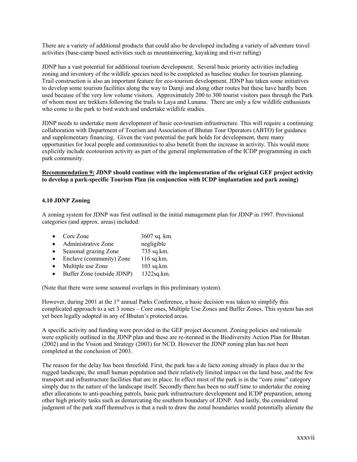There are a variety of additional products that could also be developed including a variety of adventure travel activities (base-camp based activities such as mountaineering, kayaking and river rafting)

JDNP has a vast potential for additional tourism development. Several basic priority activities including zoning and inventory of the wildlife species need to be completed as baseline studies for tourism planning. Trail construction is also an important feature for eco-tourism development. JDNP has taken some initiatives to develop some tourism facilities along the way to Damji and along other routes but these have hardly been used because of the very low volume visitors. Approximately 200 to 300 tourist visitors pass through the Park of whom most are trekkers following the trails to Laya and Lunana. There are only a few wildlife enthusiasts who come to the park to bird watch and undertake wildlife studies.

JDNP needs to undertake more development of basic eco-tourism infrastructure. This will require a continuing collaboration with Department of Tourism and Association of Bhutan Tour Operators (ABTO) for guidance and supplementary financing. Given the vast potential the park holds for development, there many opportunities for local people and communities to also benefit from the increase in activity. This would more explicitly include ecotourism activity as part of the general implementation of the ICDP programming in each park community.

#### **Recommendation 9: JDNP should continue with the implementation of the original GEF project activity to develop a park-specific Tourism Plan (in conjunction with ICDP implantation and park zoning)**

#### **4.10 JDNP Zoning**

A zoning system for JDNP was first outlined in the initial management plan for JDNP in 1997. Provisional categories (and approx. areas) included:

| Core Zone                  | 3607 sq. km. |
|----------------------------|--------------|
| Administrative Zone        | negligible   |
| Seasonal grazing Zone      | 735 sq.km.   |
| Enclave (community) Zone   | 116 sq.km.   |
| Multiple use Zone          | 103 sq.km.   |
| Buffer Zone (outside JDNP) | 1322sq.km.   |
|                            |              |

(Note that there were some seasonal overlaps in this preliminary system).

However, during 2001 at the 1<sup>st</sup> annual Parks Conference, a basic decision was taken to simplify this complicated approach to a set 3 zones – Core ones, Multiple Use Zones and Buffer Zones. This system has not yet been legally adopted in any of Bhutan's protected areas.

A specific activity and funding were provided in the GEF project document. Zoning policies and rationale were explicitly outlined in the JDNP plan and these are re-iterated in the Biodiversity Action Plan for Bhutan (2002) and in the Vision and Strategy (2003) for NCD. However the JDNP zoning plan has not been completed at the conclusion of 2003.

The reason for the delay has been threefold. First, the park has a de facto zoning already in place due to the rugged landscape, the small human population and their relatively limited impact on the land base, and the few transport and infrastructure facilities that are in place. In effect most of the park is in the "core zone" category simply due to the nature of the landscape itself. Secondly there has been no staff time to undertake the zoning after allocations to anti-poaching patrols, basic park infrastructure development and ICDP preparation, among other high priority tasks such as demarcating the southern boundary of JDNP. And lastly, the considered judgment of the park staff themselves is that a rush to draw the zonal boundaries would potentially alienate the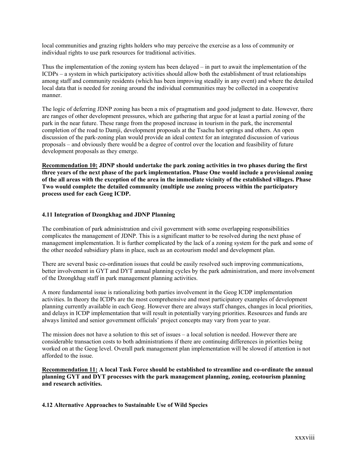local communities and grazing rights holders who may perceive the exercise as a loss of community or individual rights to use park resources for traditional activities.

Thus the implementation of the zoning system has been delayed – in part to await the implementation of the ICDPs – a system in which participatory activities should allow both the establishment of trust relationships among staff and community residents (which has been improving steadily in any event) and where the detailed local data that is needed for zoning around the individual communities may be collected in a cooperative manner.

The logic of deferring JDNP zoning has been a mix of pragmatism and good judgment to date. However, there are ranges of other development pressures, which are gathering that argue for at least a partial zoning of the park in the near future. These range from the proposed increase in tourism in the park, the incremental completion of the road to Damji, development proposals at the Tsachu hot springs and others. An open discussion of the park-zoning plan would provide an ideal context for an integrated discussion of various proposals – and obviously there would be a degree of control over the location and feasibility of future development proposals as they emerge.

**Recommendation 10: JDNP should undertake the park zoning activities in two phases during the first three years of the next phase of the park implementation. Phase One would include a provisional zoning of the all areas with the exception of the area in the immediate vicinity of the established villages. Phase Two would complete the detailed community (multiple use zoning process within the participatory process used for each Geog ICDP.**

#### **4.11 Integration of Dzongkhag and JDNP Planning**

The combination of park administration and civil government with some overlapping responsibilities complicates the management of JDNP. This is a significant matter to be resolved during the next phase of management implementation. It is further complicated by the lack of a zoning system for the park and some of the other needed subsidiary plans in place, such as an ecotourism model and development plan.

There are several basic co-ordination issues that could be easily resolved such improving communications, better involvement in GYT and DYT annual planning cycles by the park administration, and more involvement of the Dzongkhag staff in park management planning activities.

A more fundamental issue is rationalizing both parties involvement in the Geog ICDP implementation activities. In theory the ICDPs are the most comprehensive and most participatory examples of development planning currently available in each Geog. However there are always staff changes, changes in local priorities, and delays in ICDP implementation that will result in potentially varying priorities. Resources and funds are always limited and senior government officials' project concepts may vary from year to year.

The mission does not have a solution to this set of issues – a local solution is needed. However there are considerable transaction costs to both administrations if there are continuing differences in priorities being worked on at the Geog level. Overall park management plan implementation will be slowed if attention is not afforded to the issue.

**Recommendation 11: A local Task Force should be established to streamline and co-ordinate the annual planning GYT and DYT processes with the park management planning, zoning, ecotourism planning and research activities.**

#### **4.12 Alternative Approaches to Sustainable Use of Wild Species**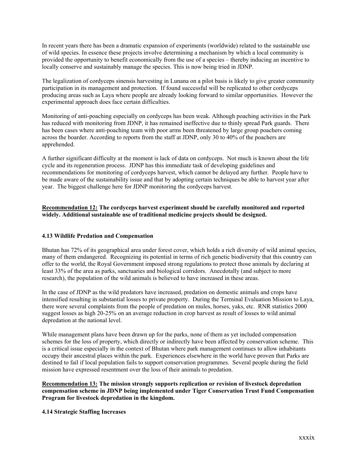In recent years there has been a dramatic expansion of experiments (worldwide) related to the sustainable use of wild species. In essence these projects involve determining a mechanism by which a local community is provided the opportunity to benefit economically from the use of a species – thereby inducing an incentive to locally conserve and sustainably manage the species. This is now being tried in JDNP.

The legalization of cordyceps sinensis harvesting in Lunana on a pilot basis is likely to give greater community participation in its management and protection. If found successful will be replicated to other cordyceps producing areas such as Laya where people are already looking forward to similar opportunities. However the experimental approach does face certain difficulties.

Monitoring of anti-poaching especially on cordyceps has been weak. Although poaching activities in the Park has reduced with monitoring from JDNP, it has remained ineffective due to thinly spread Park guards. There has been cases where anti-poaching team with poor arms been threatened by large group poachers coming across the boarder. According to reports from the staff at JDNP, only 30 to 40% of the poachers are apprehended.

A further significant difficulty at the moment is lack of data on cordyceps. Not much is known about the life cycle and its regeneration process. JDNP has this immediate task of developing guidelines and recommendations for monitoring of cordyceps harvest, which cannot be delayed any further. People have to be made aware of the sustainability issue and that by adopting certain techniques be able to harvest year after year. The biggest challenge here for JDNP monitoring the cordyceps harvest.

### **Recommendation 12: The cordyceps harvest experiment should be carefully monitored and reported widely. Additional sustainable use of traditional medicine projects should be designed.**

### **4.13 Wildlife Predation and Compensation**

Bhutan has 72% of its geographical area under forest cover, which holds a rich diversity of wild animal species, many of them endangered. Recognizing its potential in terms of rich genetic biodiversity that this country can offer to the world, the Royal Government imposed strong regulations to protect those animals by declaring at least 33% of the area as parks, sanctuaries and biological corridors. Anecdotally (and subject to more research), the population of the wild animals is believed to have increased in these areas.

In the case of JDNP as the wild predators have increased, predation on domestic animals and crops have intensified resulting in substantial losses to private property. During the Terminal Evaluation Mission to Laya, there were several complaints from the people of predation on mules, horses, yaks, etc. RNR statistics 2000 suggest losses as high 20-25% on an average reduction in crop harvest as result of losses to wild animal depredation at the national level.

While management plans have been drawn up for the parks, none of them as yet included compensation schemes for the loss of property, which directly or indirectly have been affected by conservation scheme. This is a critical issue especially in the context of Bhutan where park management continues to allow inhabitants occupy their ancestral places within the park. Experiences elsewhere in the world have proven that Parks are destined to fail if local population fails to support conservation programmes. Several people during the field mission have expressed resentment over the loss of their animals to predation.

**Recommendation 13: The mission strongly supports replication or revision of livestock depredation compensation scheme in JDNP being implemented under Tiger Conservation Trust Fund Compensation Program for livestock depredation in the kingdom.** 

#### **4.14 Strategic Staffing Increases**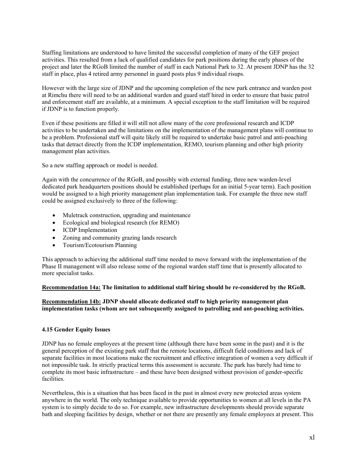Staffing limitations are understood to have limited the successful completion of many of the GEF project activities. This resulted from a lack of qualified candidates for park positions during the early phases of the project and later the RGoB limited the number of staff in each National Park to 32. At present JDNP has the 32 staff in place, plus 4 retired army personnel in guard posts plus 9 individual risups.

However with the large size of JDNP and the upcoming completion of the new park entrance and warden post at Rimchu there will need to be an additional warden and guard staff hired in order to ensure that basic patrol and enforcement staff are available, at a minimum. A special exception to the staff limitation will be required if JDNP is to function properly.

Even if these positions are filled it will still not allow many of the core professional research and ICDP activities to be undertaken and the limitations on the implementation of the management plans will continue to be a problem. Professional staff will quite likely still be required to undertake basic patrol and anti-poaching tasks that detract directly from the ICDP implementation, REMO, tourism planning and other high priority management plan activities.

So a new staffing approach or model is needed.

Again with the concurrence of the RGoB, and possibly with external funding, three new warden-level dedicated park headquarters positions should be established (perhaps for an initial 5-year term). Each position would be assigned to a high priority management plan implementation task. For example the three new staff could be assigned exclusively to three of the following:

- Muletrack construction, upgrading and maintenance
- Ecological and biological research (for REMO)
- ICDP Implementation
- Zoning and community grazing lands research
- Tourism/Ecotourism Planning

This approach to achieving the additional staff time needed to move forward with the implementation of the Phase II management will also release some of the regional warden staff time that is presently allocated to more specialist tasks.

#### **Recommendation 14a: The limitation to additional staff hiring should be re-considered by the RGoB.**

### **Recommendation 14b: JDNP should allocate dedicated staff to high priority management plan implementation tasks (whom are not subsequently assigned to patrolling and ant-poaching activities.**

#### **4.15 Gender Equity Issues**

JDNP has no female employees at the present time (although there have been some in the past) and it is the general perception of the existing park staff that the remote locations, difficult field conditions and lack of separate facilities in most locations make the recruitment and effective integration of women a very difficult if not impossible task. In strictly practical terms this assessment is accurate. The park has barely had time to complete its most basic infrastructure – and these have been designed without provision of gender-specific facilities.

Nevertheless, this is a situation that has been faced in the past in almost every new protected areas system anywhere in the world. The only technique available to provide opportunities to women at all levels in the PA system is to simply decide to do so. For example, new infrastructure developments should provide separate bath and sleeping facilities by design, whether or not there are presently any female employees at present. This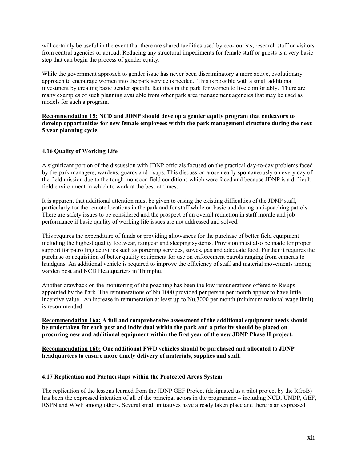will certainly be useful in the event that there are shared facilities used by eco-tourists, research staff or visitors from central agencies or abroad. Reducing any structural impediments for female staff or guests is a very basic step that can begin the process of gender equity.

While the government approach to gender issue has never been discriminatory a more active, evolutionary approach to encourage women into the park service is needed. This is possible with a small additional investment by creating basic gender specific facilities in the park for women to live comfortably. There are many examples of such planning available from other park area management agencies that may be used as models for such a program.

**Recommendation 15: NCD and JDNP should develop a gender equity program that endeavors to develop opportunities for new female employees within the park management structure during the next 5 year planning cycle.**

### **4.16 Quality of Working Life**

A significant portion of the discussion with JDNP officials focused on the practical day-to-day problems faced by the park managers, wardens, guards and risups. This discussion arose nearly spontaneously on every day of the field mission due to the tough monsoon field conditions which were faced and because JDNP is a difficult field environment in which to work at the best of times.

It is apparent that additional attention must be given to easing the existing difficulties of the JDNP staff, particularly for the remote locations in the park and for staff while on basic and during anti-poaching patrols. There are safety issues to be considered and the prospect of an overall reduction in staff morale and job performance if basic quality of working life issues are not addressed and solved.

This requires the expenditure of funds or providing allowances for the purchase of better field equipment including the highest quality footwear, raingear and sleeping systems. Provision must also be made for proper support for patrolling activities such as portering services, stoves, gas and adequate food. Further it requires the purchase or acquisition of better quality equipment for use on enforcement patrols ranging from cameras to handguns. An additional vehicle is required to improve the efficiency of staff and material movements among warden post and NCD Headquarters in Thimphu.

Another drawback on the monitoring of the poaching has been the low remunerations offered to Risups appointed by the Park. The remunerations of Nu.1000 provided per person per month appear to have little incentive value. An increase in remuneration at least up to Nu.3000 per month (minimum national wage limit) is recommended.

**Recommendation 16a: A full and comprehensive assessment of the additional equipment needs should be undertaken for each post and individual within the park and a priority should be placed on procuring new and additional equipment within the first year of the new JDNP Phase II project.**

**Recommendation 16b: One additional FWD vehicles should be purchased and allocated to JDNP headquarters to ensure more timely delivery of materials, supplies and staff.**

#### **4.17 Replication and Partnerships within the Protected Areas System**

The replication of the lessons learned from the JDNP GEF Project (designated as a pilot project by the RGoB) has been the expressed intention of all of the principal actors in the programme – including NCD, UNDP, GEF, RSPN and WWF among others. Several small initiatives have already taken place and there is an expressed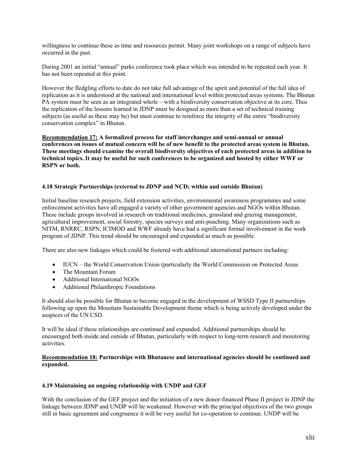willingness to continue these as time and resources permit. Many joint workshops on a range of subjects have occurred in the past.

During 2001 an initial "annual" parks conference took place which was intended to be repeated each year. It has not been repeated at this point.

However the fledgling efforts to date do not take full advantage of the spirit and potential of the full idea of replication as it is understood at the national and international level within protected areas systems. The Bhutan PA system must be seen as an integrated whole – with a biodiversity conservation objective at its core. Thus the replication of the lessons learned in JDNP must be designed as more than a set of technical training subjects (as useful as these may be) but must continue to reinforce the integrity of the entire "biodiversity conservation complex" in Bhutan.

**Recommendation 17: A formalized process for staff interchanges and semi-annual or annual conferences on issues of mutual concern will be of new benefit to the protected areas system in Bhutan. These meetings should examine the overall biodiversity objectives of each protected areas in addition to technical topics. It may be useful for such conferences to be organized and hosted by either WWF or RSPN or both.**

#### **4.18 Strategic Partnerships (external to JDNP and NCD; within and outside Bhutan)**

Initial baseline research projects, field extension activities, environmental awareness programmes and some enforcement activities have all engaged a variety of other government agencies and NGOs within Bhutan. These include groups involved in research on traditional medicines, grassland and grazing management, agricultural improvement, social forestry, species surveys and anti-poaching. Many organizations such as NITM, RNRRC, RSPN, ICIMOD and WWF already have had a significant formal involvement in the work program of JDNP. This trend should be encouraged and expanded as much as possible.

There are also new linkages which could be fostered with additional international partners including:

- IUCN the World Conservation Union (particularly the World Commission on Protected Areas
- The Mountain Forum
- Additional International NGOs
- Additional Philanthropic Foundations

It should also be possible for Bhutan to become engaged in the development of WSSD Type II partnerships following up upon the Mountain Sustainable Development theme which is being actively developed under the auspices of the UN CSD.

It will be ideal if these relationships are continued and expanded. Additional partnerships should be encouraged both inside and outside of Bhutan, particularly with respect to long-term research and monitoring activities.

#### **Recommendation 18: Partnerships with Bhutanese and international agencies should be continued and expanded.**

#### **4.19 Maintaining an ongoing relationship with UNDP and GEF**

With the conclusion of the GEF project and the initiation of a new donor-financed Phase II project in JDNP the linkage between JDNP and UNDP will be weakened. However with the principal objectives of the two groups still in basic agreement and congruence it will be very useful for co-operation to continue. UNDP will be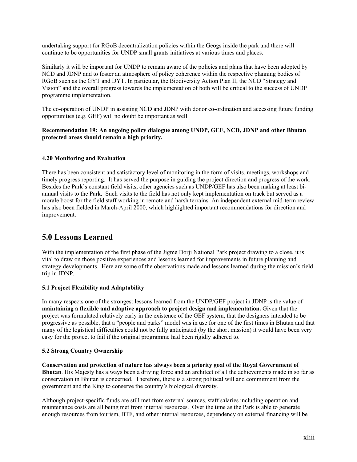undertaking support for RGoB decentralization policies within the Geogs inside the park and there will continue to be opportunities for UNDP small grants initiatives at various times and places.

Similarly it will be important for UNDP to remain aware of the policies and plans that have been adopted by NCD and JDNP and to foster an atmosphere of policy coherence within the respective planning bodies of RGoB such as the GYT and DYT. In particular, the Biodiversity Action Plan II, the NCD "Strategy and Vision" and the overall progress towards the implementation of both will be critical to the success of UNDP programme implementation.

The co-operation of UNDP in assisting NCD and JDNP with donor co-ordination and accessing future funding opportunities (e.g. GEF) will no doubt be important as well.

#### **Recommendation 19: An ongoing policy dialogue among UNDP, GEF, NCD, JDNP and other Bhutan protected areas should remain a high priority.**

### **4.20 Monitoring and Evaluation**

There has been consistent and satisfactory level of monitoring in the form of visits, meetings, workshops and timely progress reporting. It has served the purpose in guiding the project direction and progress of the work. Besides the Park's constant field visits, other agencies such as UNDP/GEF has also been making at least biannual visits to the Park. Such visits to the field has not only kept implementation on track but served as a morale boost for the field staff working in remote and harsh terrains. An independent external mid-term review has also been fielded in March-April 2000, which highlighted important recommendations for direction and improvement.

# **5.0 Lessons Learned**

With the implementation of the first phase of the Jigme Dorji National Park project drawing to a close, it is vital to draw on those positive experiences and lessons learned for improvements in future planning and strategy developments. Here are some of the observations made and lessons learned during the mission's field trip in JDNP.

### **5.1 Project Flexibility and Adaptability**

In many respects one of the strongest lessons learned from the UNDP/GEF project in JDNP is the value of **maintaining a flexible and adaptive approach to project design and implementation.** Given that the project was formulated relatively early in the existence of the GEF system, that the designers intended to be progressive as possible, that a "people and parks" model was in use for one of the first times in Bhutan and that many of the logistical difficulties could not be fully anticipated (by the short mission) it would have been very easy for the project to fail if the original programme had been rigidly adhered to.

#### **5.2 Strong Country Ownership**

**Conservation and protection of nature has always been a priority goal of the Royal Government of Bhutan**. His Majesty has always been a driving force and an architect of all the achievements made in so far as conservation in Bhutan is concerned. Therefore, there is a strong political will and commitment from the government and the King to conserve the country's biological diversity.

Although project-specific funds are still met from external sources, staff salaries including operation and maintenance costs are all being met from internal resources. Over the time as the Park is able to generate enough resources from tourism, BTF, and other internal resources, dependency on external financing will be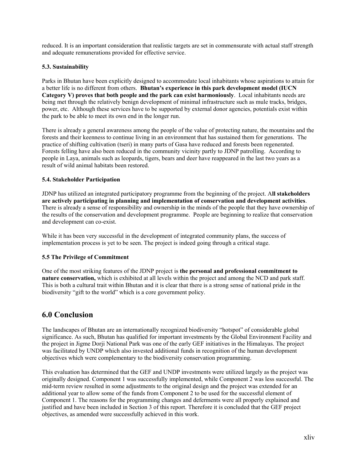reduced. It is an important consideration that realistic targets are set in commensurate with actual staff strength and adequate remunerations provided for effective service.

### **5.3. Sustainability**

Parks in Bhutan have been explicitly designed to accommodate local inhabitants whose aspirations to attain for a better life is no different from others. **Bhutan's experience in this park development model (IUCN Category V) proves that both people and the park can exist harmoniously**. Local inhabitants needs are being met through the relatively benign development of minimal infrastructure such as mule tracks, bridges, power, etc. Although these services have to be supported by external donor agencies, potentials exist within the park to be able to meet its own end in the longer run.

There is already a general awareness among the people of the value of protecting nature, the mountains and the forests and their keenness to continue living in an environment that has sustained them for generations. The practice of shifting cultivation (tseri) in many parts of Gasa have reduced and forests been regenerated. Forests felling have also been reduced in the community vicinity partly to JDNP patrolling. According to people in Laya, animals such as leopards, tigers, bears and deer have reappeared in the last two years as a result of wild animal habitats been restored.

## **5.4. Stakeholder Participation**

JDNP has utilized an integrated participatory programme from the beginning of the project. A**ll stakeholders are actively participating in planning and implementation of conservation and development activities**. There is already a sense of responsibility and ownership in the minds of the people that they have ownership of the results of the conservation and development programme. People are beginning to realize that conservation and development can co-exist.

While it has been very successful in the development of integrated community plans, the success of implementation process is yet to be seen. The project is indeed going through a critical stage.

## **5.5 The Privilege of Commitment**

One of the most striking features of the JDNP project is **the personal and professional commitment to nature conservation,** which is exhibited at all levels within the project and among the NCD and park staff. This is both a cultural trait within Bhutan and it is clear that there is a strong sense of national pride in the biodiversity "gift to the world" which is a core government policy.

## **6.0 Conclusion**

The landscapes of Bhutan are an internationally recognized biodiversity "hotspot" of considerable global significance. As such, Bhutan has qualified for important investments by the Global Environment Facility and the project in Jigme Dorji National Park was one of the early GEF initiatives in the Himalayas. The project was facilitated by UNDP which also invested additional funds in recognition of the human development objectives which were complementary to the biodiversity conservation programming.

This evaluation has determined that the GEF and UNDP investments were utilized largely as the project was originally designed. Component 1 was successfully implemented, while Component 2 was less successful. The mid-term review resulted in some adjustments to the original design and the project was extended for an additional year to allow some of the funds from Component 2 to be used for the successful element of Component 1. The reasons for the programming changes and deferments were all properly explained and justified and have been included in Section 3 of this report. Therefore it is concluded that the GEF project objectives, as amended were successfully achieved in this work.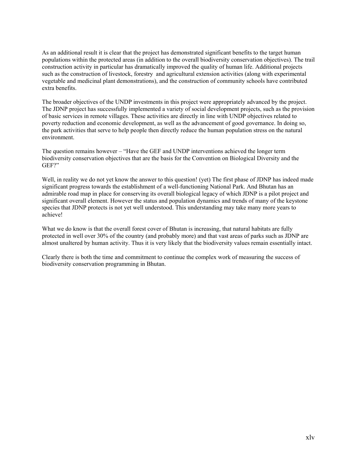As an additional result it is clear that the project has demonstrated significant benefits to the target human populations within the protected areas (in addition to the overall biodiversity conservation objectives). The trail construction activity in particular has dramatically improved the quality of human life. Additional projects such as the construction of livestock, forestry and agricultural extension activities (along with experimental vegetable and medicinal plant demonstrations), and the construction of community schools have contributed extra benefits.

The broader objectives of the UNDP investments in this project were appropriately advanced by the project. The JDNP project has successfully implemented a variety of social development projects, such as the provision of basic services in remote villages. These activities are directly in line with UNDP objectives related to poverty reduction and economic development, as well as the advancement of good governance. In doing so, the park activities that serve to help people then directly reduce the human population stress on the natural environment.

The question remains however – "Have the GEF and UNDP interventions achieved the longer term biodiversity conservation objectives that are the basis for the Convention on Biological Diversity and the GEF?"

Well, in reality we do not yet know the answer to this question! (yet) The first phase of JDNP has indeed made significant progress towards the establishment of a well-functioning National Park. And Bhutan has an admirable road map in place for conserving its overall biological legacy of which JDNP is a pilot project and significant overall element. However the status and population dynamics and trends of many of the keystone species that JDNP protects is not yet well understood. This understanding may take many more years to achieve!

What we do know is that the overall forest cover of Bhutan is increasing, that natural habitats are fully protected in well over 30% of the country (and probably more) and that vast areas of parks such as JDNP are almost unaltered by human activity. Thus it is very likely that the biodiversity values remain essentially intact.

Clearly there is both the time and commitment to continue the complex work of measuring the success of biodiversity conservation programming in Bhutan.